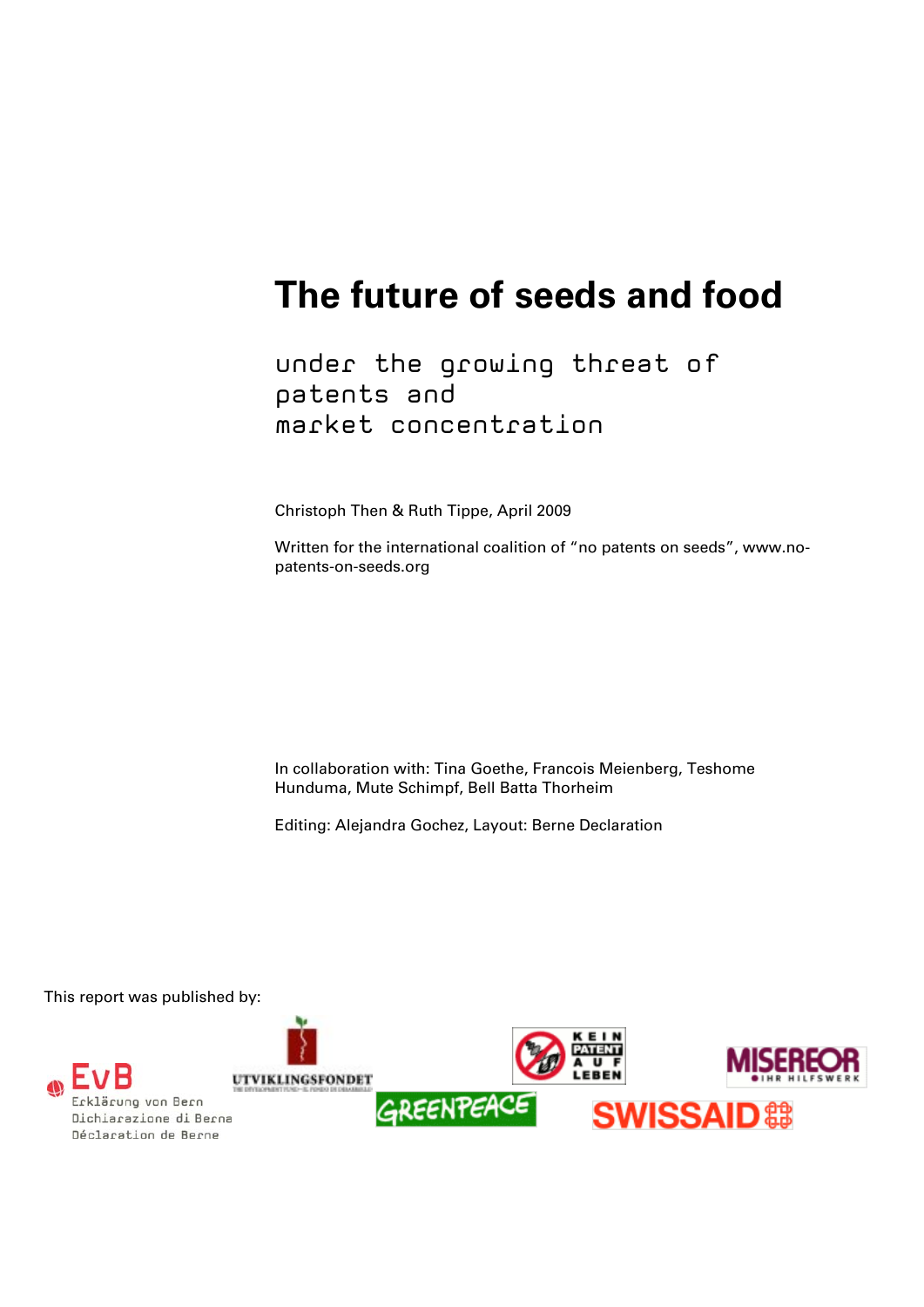# **The future of seeds and food**

under the growing threat of patents and market concentration

Christoph Then & Ruth Tippe, April 2009

Written for the international coalition of "no patents on seeds", www.nopatents-on-seeds.org

In collaboration with: Tina Goethe, Francois Meienberg, Teshome Hunduma, Mute Schimpf, Bell Batta Thorheim

Editing: Alejandra Gochez, Layout: Berne Declaration

This report was published by:



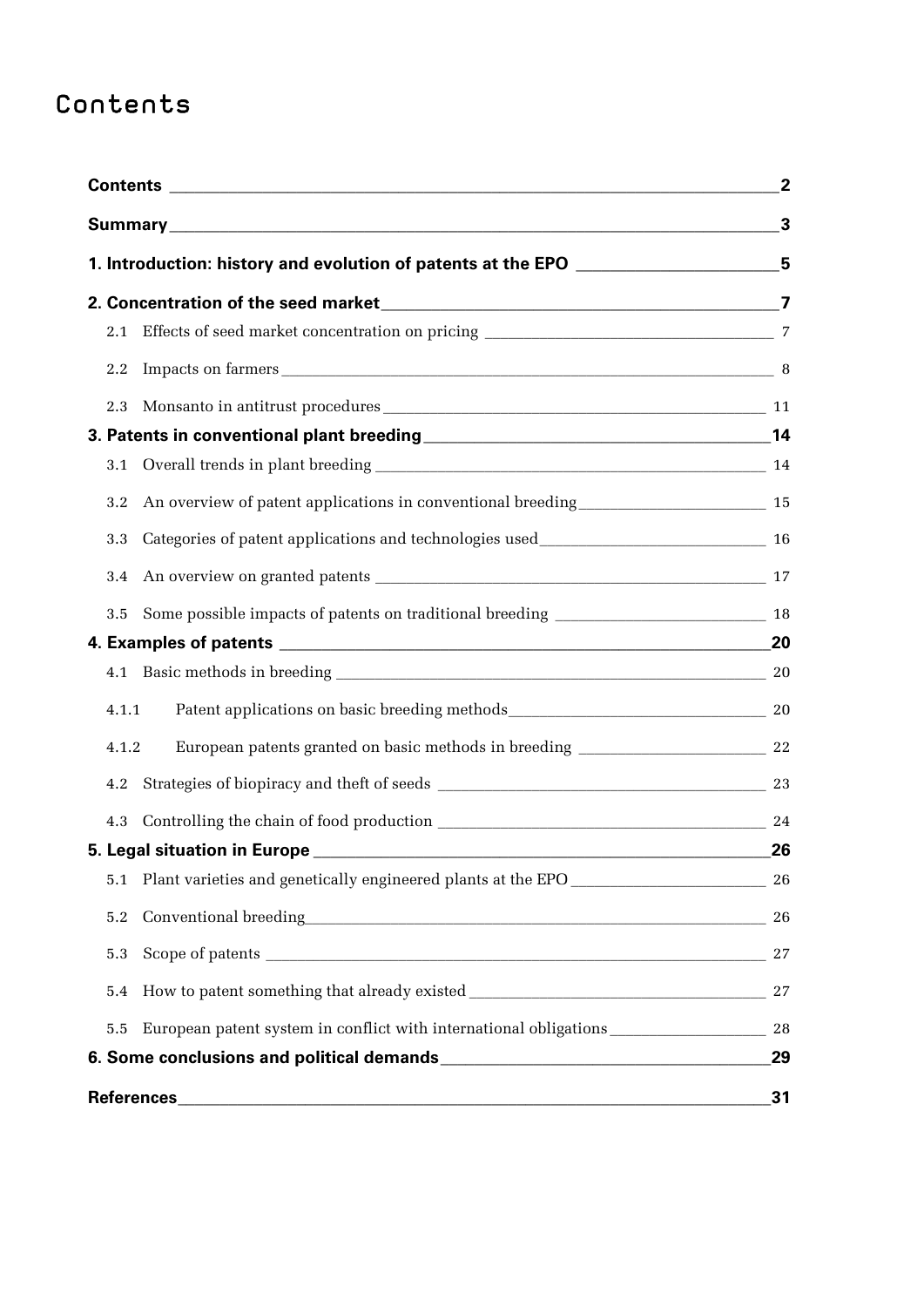## Contents

| 1. Introduction: history and evolution of patents at the EPO ___________________5 |                                                                                   | 2<br>3 |     |                       |  |
|-----------------------------------------------------------------------------------|-----------------------------------------------------------------------------------|--------|-----|-----------------------|--|
|                                                                                   |                                                                                   |        | 2.1 |                       |  |
|                                                                                   |                                                                                   |        | 2.2 | Impacts on farmers 38 |  |
|                                                                                   |                                                                                   |        | 2.3 |                       |  |
|                                                                                   |                                                                                   |        |     |                       |  |
| 3.1                                                                               |                                                                                   |        |     |                       |  |
| 3.2                                                                               | An overview of patent applications in conventional breeding<br><u>15</u>          |        |     |                       |  |
| 3.3                                                                               |                                                                                   |        |     |                       |  |
| 3.4                                                                               |                                                                                   |        |     |                       |  |
| 3.5                                                                               |                                                                                   |        |     |                       |  |
|                                                                                   |                                                                                   |        |     |                       |  |
| 4.1                                                                               |                                                                                   |        |     |                       |  |
|                                                                                   | 4.1.1                                                                             |        |     |                       |  |
|                                                                                   | 4.1.2                                                                             |        |     |                       |  |
| 4.2                                                                               |                                                                                   | 23     |     |                       |  |
| 4.3                                                                               |                                                                                   | 24     |     |                       |  |
|                                                                                   |                                                                                   | 26     |     |                       |  |
| 5.1                                                                               | Plant varieties and genetically engineered plants at the EPO ____________________ | 26     |     |                       |  |
| 5.2                                                                               | $\textbf{Conventional breeding}\textcolor{red}{\overbrace{\hspace{1.5cm}26}}$     |        |     |                       |  |
| 5.3                                                                               |                                                                                   |        |     |                       |  |
| 5.4                                                                               |                                                                                   |        |     |                       |  |
| 5.5                                                                               |                                                                                   |        |     |                       |  |
|                                                                                   |                                                                                   | 29     |     |                       |  |
|                                                                                   |                                                                                   | 31     |     |                       |  |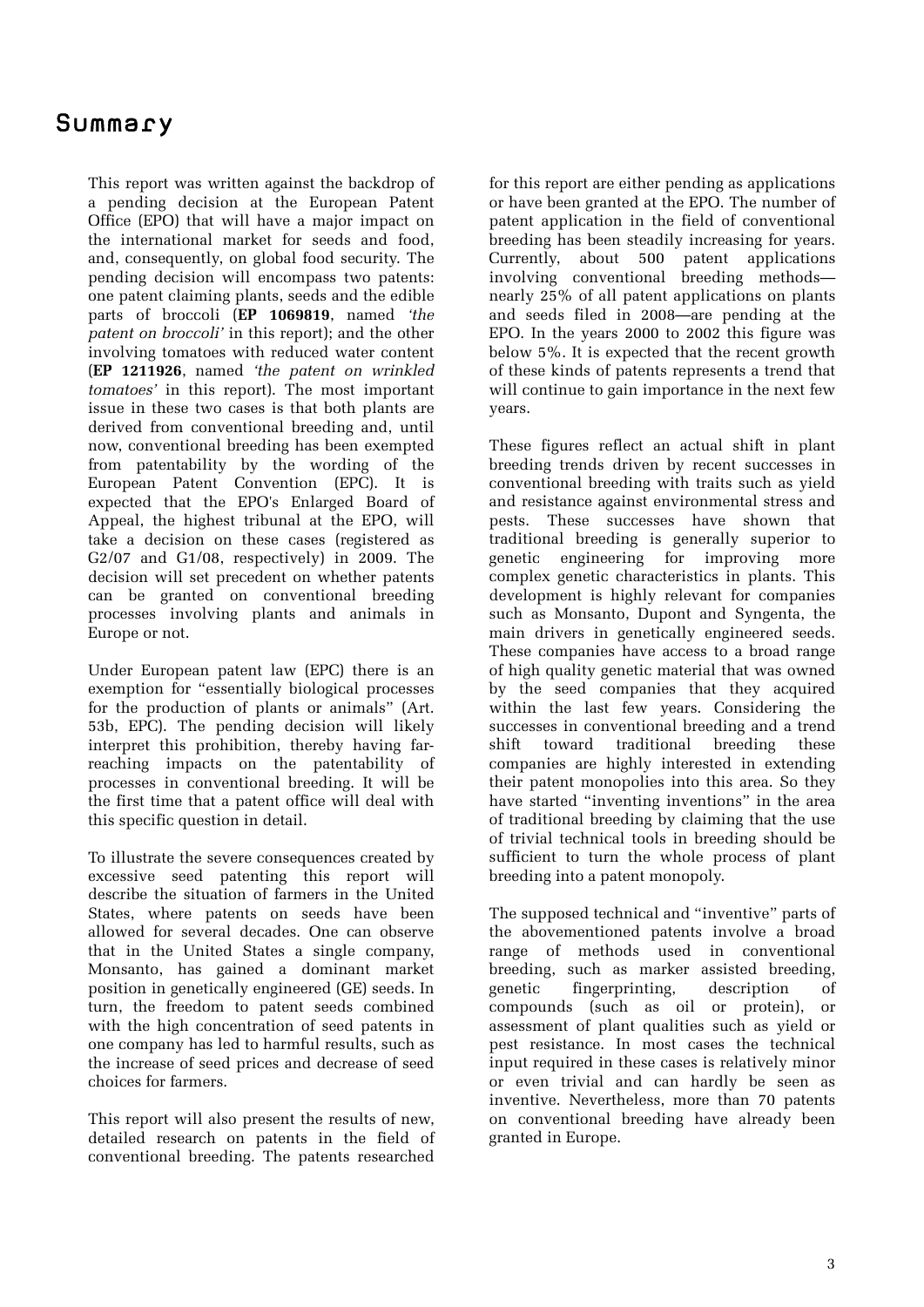### Summary

This report was written against the backdrop of a pending decision at the European Patent Office (EPO) that will have a major impact on the international market for seeds and food, and, consequently, on global food security. The pending decision will encompass two patents: one patent claiming plants, seeds and the edible parts of broccoli (**EP 1069819**, named *'the patent on broccoli'* in this report); and the other involving tomatoes with reduced water content (**EP 1211926**, named *'the patent on wrinkled tomatoes'* in this report). The most important issue in these two cases is that both plants are derived from conventional breeding and, until now, conventional breeding has been exempted from patentability by the wording of the European Patent Convention (EPC). It is expected that the EPO's Enlarged Board of Appeal, the highest tribunal at the EPO, will take a decision on these cases (registered as G2/07 and G1/08, respectively) in 2009. The decision will set precedent on whether patents can be granted on conventional breeding processes involving plants and animals in Europe or not.

Under European patent law (EPC) there is an exemption for "essentially biological processes for the production of plants or animals" (Art. 53b, EPC). The pending decision will likely interpret this prohibition, thereby having farreaching impacts on the patentability of processes in conventional breeding. It will be the first time that a patent office will deal with this specific question in detail.

To illustrate the severe consequences created by excessive seed patenting this report will describe the situation of farmers in the United States, where patents on seeds have been allowed for several decades. One can observe that in the United States a single company, Monsanto, has gained a dominant market position in genetically engineered (GE) seeds. In turn, the freedom to patent seeds combined with the high concentration of seed patents in one company has led to harmful results, such as the increase of seed prices and decrease of seed choices for farmers.

This report will also present the results of new, detailed research on patents in the field of conventional breeding. The patents researched

for this report are either pending as applications or have been granted at the EPO. The number of patent application in the field of conventional breeding has been steadily increasing for years. Currently, about 500 patent applications involving conventional breeding methods nearly 25% of all patent applications on plants and seeds filed in 2008—are pending at the EPO. In the years 2000 to 2002 this figure was below 5%. It is expected that the recent growth of these kinds of patents represents a trend that will continue to gain importance in the next few years.

These figures reflect an actual shift in plant breeding trends driven by recent successes in conventional breeding with traits such as yield and resistance against environmental stress and pests. These successes have shown that traditional breeding is generally superior to genetic engineering for improving more complex genetic characteristics in plants. This development is highly relevant for companies such as Monsanto, Dupont and Syngenta, the main drivers in genetically engineered seeds. These companies have access to a broad range of high quality genetic material that was owned by the seed companies that they acquired within the last few years. Considering the successes in conventional breeding and a trend shift toward traditional breeding these companies are highly interested in extending their patent monopolies into this area. So they have started "inventing inventions" in the area of traditional breeding by claiming that the use of trivial technical tools in breeding should be sufficient to turn the whole process of plant breeding into a patent monopoly.

The supposed technical and "inventive" parts of the abovementioned patents involve a broad range of methods used in conventional breeding, such as marker assisted breeding, genetic fingerprinting, description of compounds (such as oil or protein), or assessment of plant qualities such as yield or pest resistance. In most cases the technical input required in these cases is relatively minor or even trivial and can hardly be seen as inventive. Nevertheless, more than 70 patents on conventional breeding have already been granted in Europe.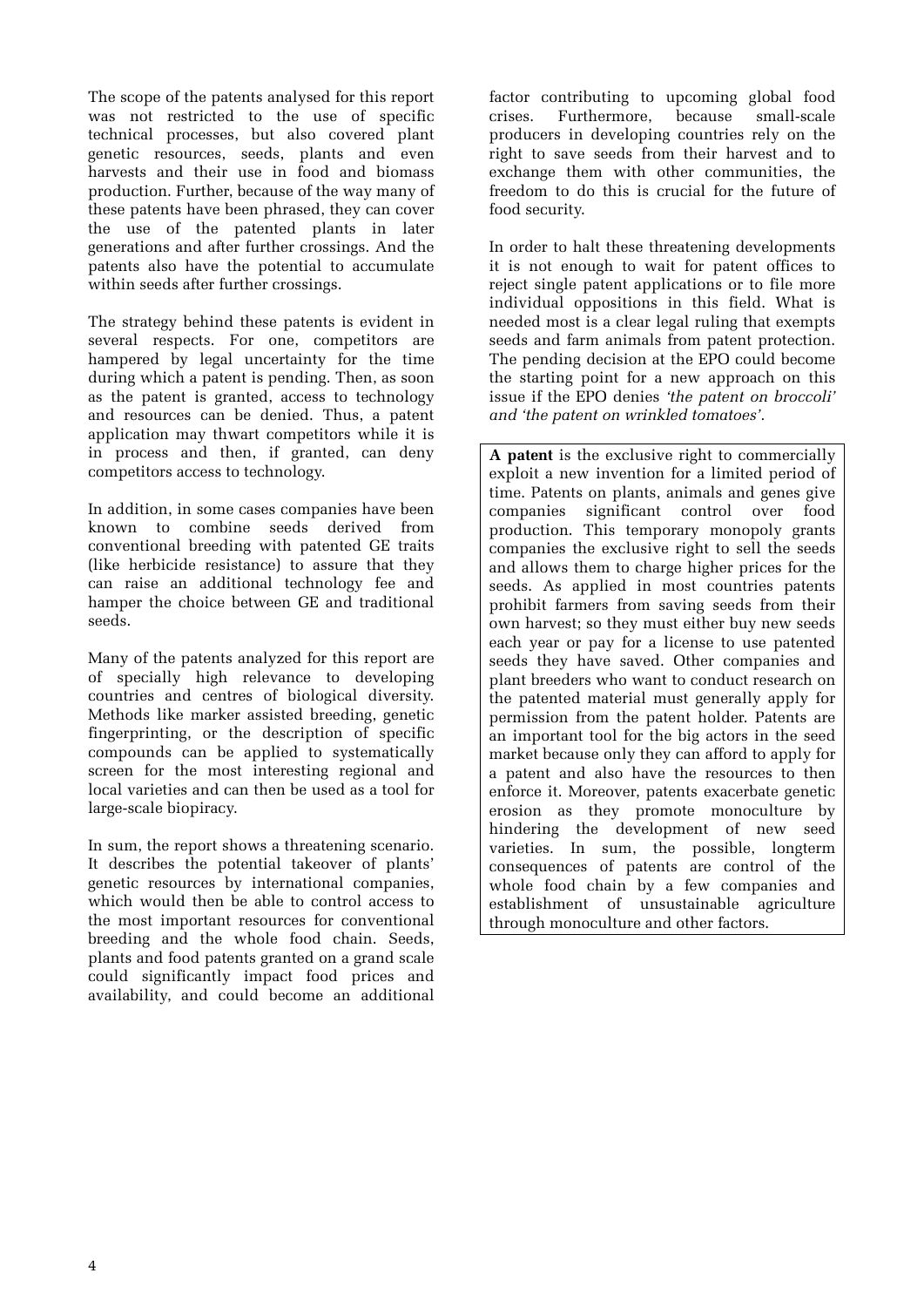The scope of the patents analysed for this report was not restricted to the use of specific technical processes, but also covered plant genetic resources, seeds, plants and even harvests and their use in food and biomass production. Further, because of the way many of these patents have been phrased, they can cover the use of the patented plants in later generations and after further crossings. And the patents also have the potential to accumulate within seeds after further crossings.

The strategy behind these patents is evident in several respects. For one, competitors are hampered by legal uncertainty for the time during which a patent is pending. Then, as soon as the patent is granted, access to technology and resources can be denied. Thus, a patent application may thwart competitors while it is in process and then, if granted, can deny competitors access to technology.

In addition, in some cases companies have been known to combine seeds derived from conventional breeding with patented GE traits (like herbicide resistance) to assure that they can raise an additional technology fee and hamper the choice between GE and traditional seeds.

Many of the patents analyzed for this report are of specially high relevance to developing countries and centres of biological diversity. Methods like marker assisted breeding, genetic fingerprinting, or the description of specific compounds can be applied to systematically screen for the most interesting regional and local varieties and can then be used as a tool for large-scale biopiracy.

In sum, the report shows a threatening scenario. It describes the potential takeover of plants' genetic resources by international companies, which would then be able to control access to the most important resources for conventional breeding and the whole food chain. Seeds, plants and food patents granted on a grand scale could significantly impact food prices and availability, and could become an additional

factor contributing to upcoming global food<br>crises. Furthermore. because small-scale  $crises.$  Furthermore. producers in developing countries rely on the right to save seeds from their harvest and to exchange them with other communities, the freedom to do this is crucial for the future of food security.

In order to halt these threatening developments it is not enough to wait for patent offices to reject single patent applications or to file more individual oppositions in this field. What is needed most is a clear legal ruling that exempts seeds and farm animals from patent protection. The pending decision at the EPO could become the starting point for a new approach on this issue if the EPO denies *'the patent on broccoli' and 'the patent on wrinkled tomatoes'.*

**A patent** is the exclusive right to commercially exploit a new invention for a limited period of time. Patents on plants, animals and genes give companies significant control over food production. This temporary monopoly grants companies the exclusive right to sell the seeds and allows them to charge higher prices for the seeds. As applied in most countries patents prohibit farmers from saving seeds from their own harvest; so they must either buy new seeds each year or pay for a license to use patented seeds they have saved. Other companies and plant breeders who want to conduct research on the patented material must generally apply for permission from the patent holder. Patents are an important tool for the big actors in the seed market because only they can afford to apply for a patent and also have the resources to then enforce it. Moreover, patents exacerbate genetic erosion as they promote monoculture by hindering the development of new seed varieties. In sum, the possible, longterm consequences of patents are control of the whole food chain by a few companies and establishment of unsustainable agriculture through monoculture and other factors.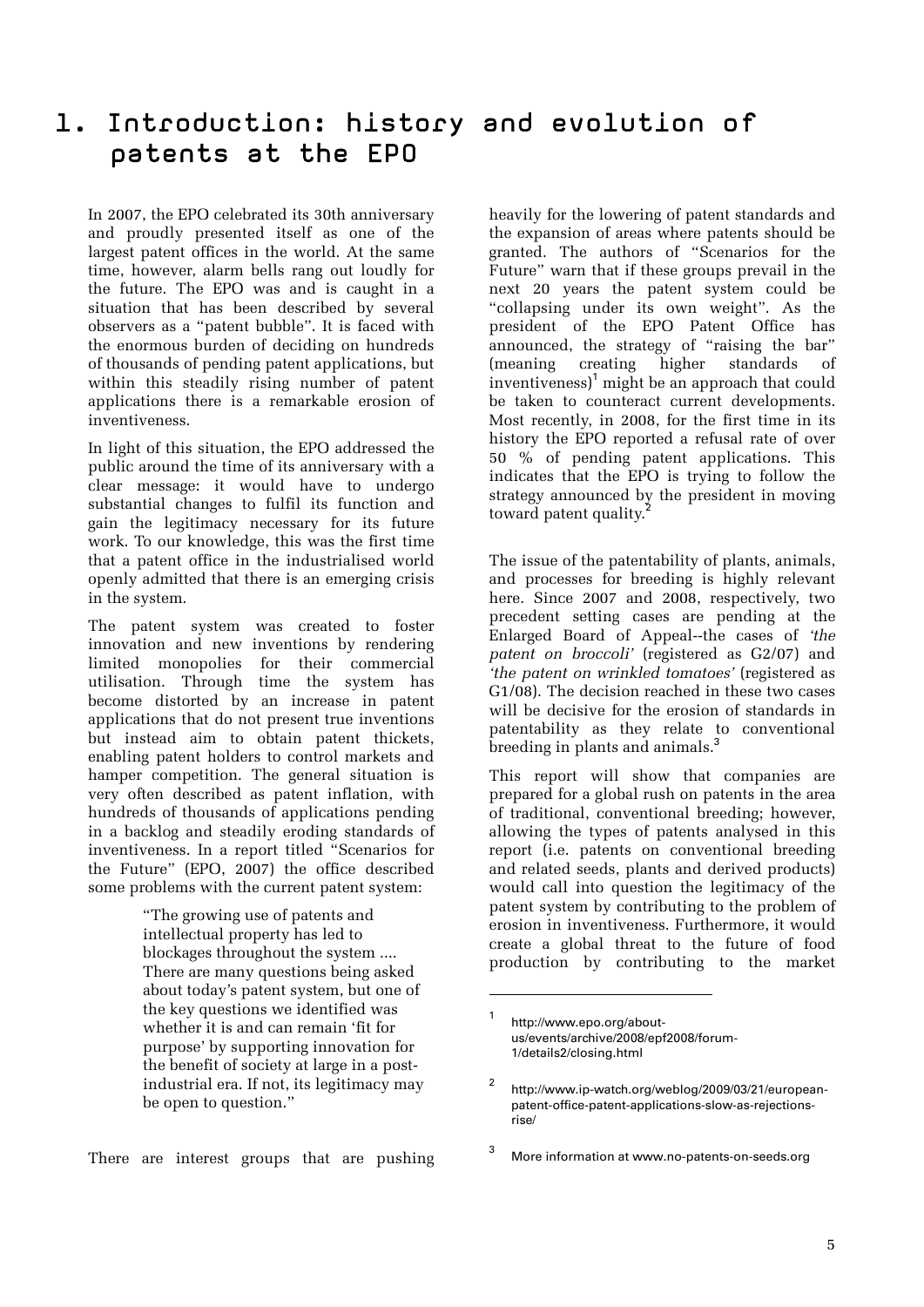### 1. Introduction: history and evolution of patents at the EPO

In 2007, the EPO celebrated its 30th anniversary and proudly presented itself as one of the largest patent offices in the world. At the same time, however, alarm bells rang out loudly for the future. The EPO was and is caught in a situation that has been described by several observers as a "patent bubble". It is faced with the enormous burden of deciding on hundreds of thousands of pending patent applications, but within this steadily rising number of patent applications there is a remarkable erosion of inventiveness.

In light of this situation, the EPO addressed the public around the time of its anniversary with a clear message: it would have to undergo substantial changes to fulfil its function and gain the legitimacy necessary for its future work. To our knowledge, this was the first time that a patent office in the industrialised world openly admitted that there is an emerging crisis in the system.

The patent system was created to foster innovation and new inventions by rendering limited monopolies for their commercial utilisation. Through time the system has become distorted by an increase in patent applications that do not present true inventions but instead aim to obtain patent thickets, enabling patent holders to control markets and hamper competition. The general situation is very often described as patent inflation, with hundreds of thousands of applications pending in a backlog and steadily eroding standards of inventiveness. In a report titled "Scenarios for the Future" (EPO, 2007) the office described some problems with the current patent system:

> "The growing use of patents and intellectual property has led to blockages throughout the system .... There are many questions being asked about today's patent system, but one of the key questions we identified was whether it is and can remain 'fit for purpose' by supporting innovation for the benefit of society at large in a postindustrial era. If not, its legitimacy may be open to question."

There are interest groups that are pushing

heavily for the lowering of patent standards and the expansion of areas where patents should be granted. The authors of "Scenarios for the Future" warn that if these groups prevail in the next 20 years the patent system could be "collapsing under its own weight". As the president of the EPO Patent Office has announced, the strategy of "raising the bar" (meaning creating higher standards of inventiveness)<sup>1</sup> might be an approach that could be taken to counteract current developments. Most recently, in 2008, for the first time in its history the EPO reported a refusal rate of over 50 % of pending patent applications. This indicates that the EPO is trying to follow the strategy announced by the president in moving toward patent quality.

The issue of the patentability of plants, animals, and processes for breeding is highly relevant here. Since 2007 and 2008, respectively, two precedent setting cases are pending at the Enlarged Board of Appeal--the cases of *'the patent on broccoli'* (registered as G2/07) and *'the patent on wrinkled tomatoes'* (registered as G1/08). The decision reached in these two cases will be decisive for the erosion of standards in patentability as they relate to conventional breeding in plants and animals.<sup>3</sup>

This report will show that companies are prepared for a global rush on patents in the area of traditional, conventional breeding; however, allowing the types of patents analysed in this report (i.e. patents on conventional breeding and related seeds, plants and derived products) would call into question the legitimacy of the patent system by contributing to the problem of erosion in inventiveness. Furthermore, it would create a global threat to the future of food production by contributing to the market

1

<sup>1</sup> http://www.epo.org/aboutus/events/archive/2008/epf2008/forum-1/details2/closing.html

 $\overline{2}$  http://www.ip-watch.org/weblog/2009/03/21/europeanpatent-office-patent-applications-slow-as-rejectionsrise/

<sup>3</sup> More information at www.no-patents-on-seeds.org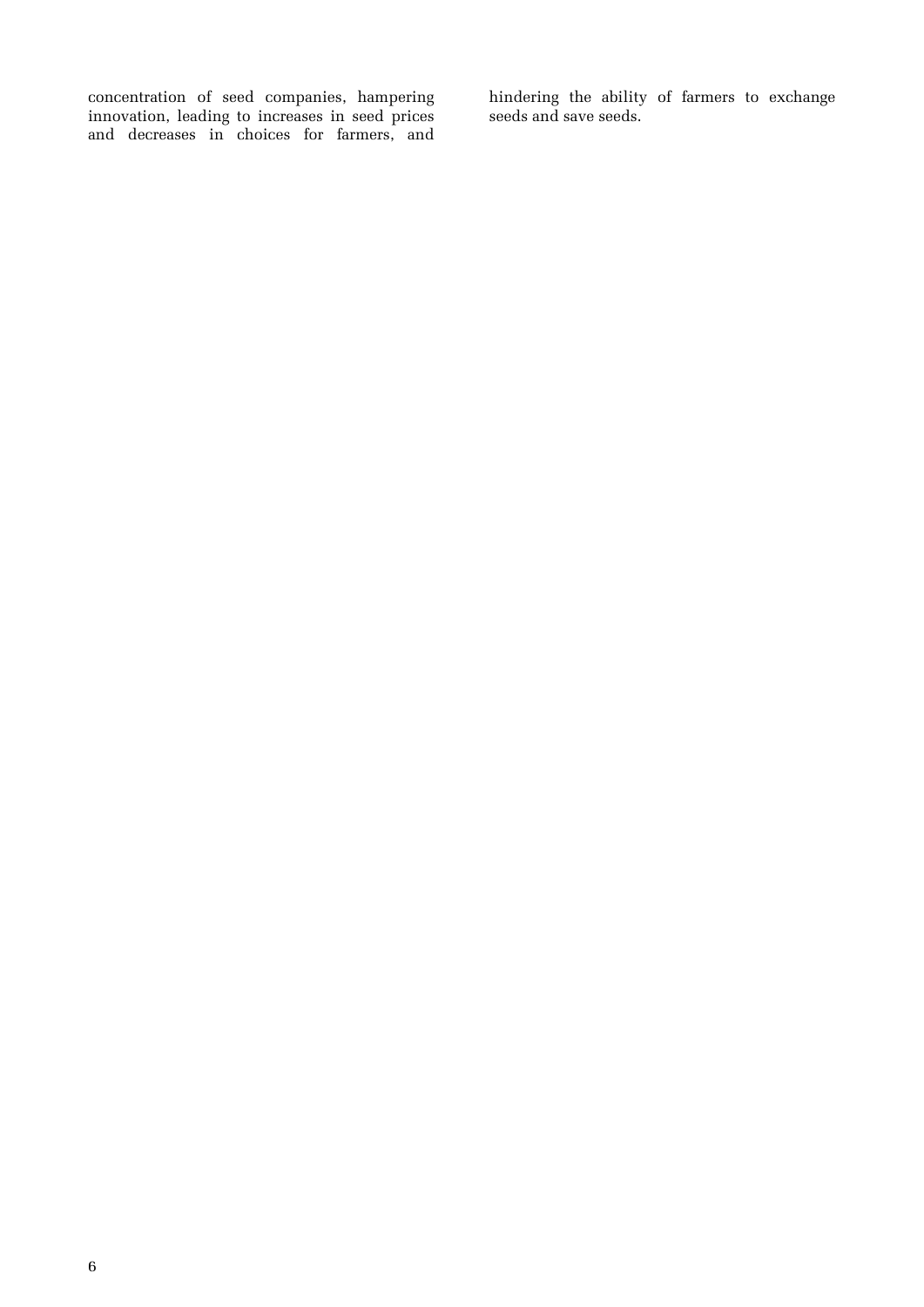concentration of seed companies, hampering innovation, leading to increases in seed prices and decreases in choices for farmers, and hindering the ability of farmers to exchange seeds and save seeds.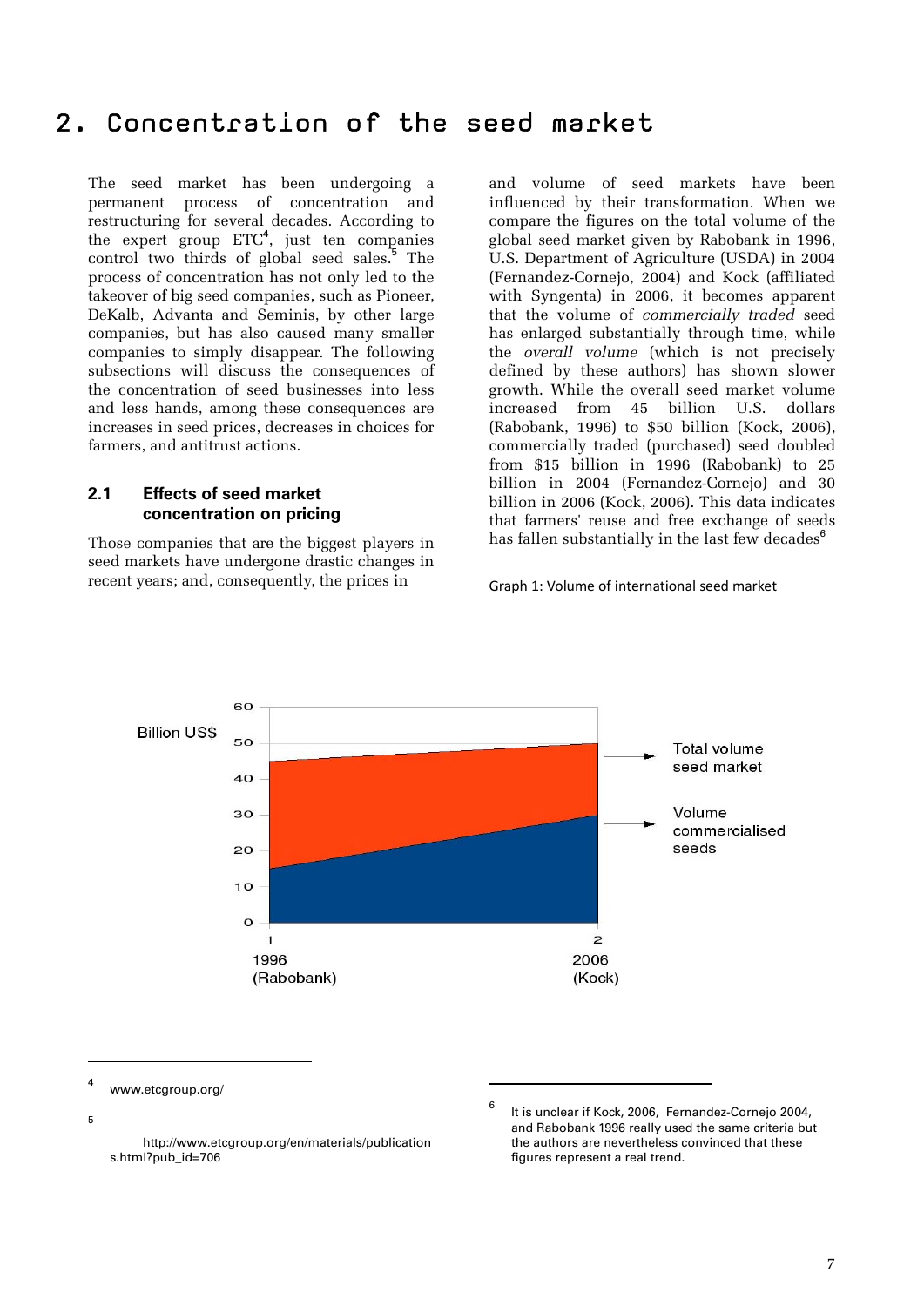## 2. Concentration of the seed market

The seed market has been undergoing a permanent process of concentration and restructuring for several decades. According to the expert group  $ETC<sup>4</sup>$ , just ten companies control two thirds of global seed sales.<sup>5</sup> The process of concentration has not only led to the takeover of big seed companies, such as Pioneer, DeKalb, Advanta and Seminis, by other large companies, but has also caused many smaller companies to simply disappear. The following subsections will discuss the consequences of the concentration of seed businesses into less and less hands, among these consequences are increases in seed prices, decreases in choices for farmers, and antitrust actions.

#### **2.1 Effects of seed market concentration on pricing**

Those companies that are the biggest players in seed markets have undergone drastic changes in recent years; and, consequently, the prices in

and volume of seed markets have been influenced by their transformation. When we compare the figures on the total volume of the global seed market given by Rabobank in 1996, U.S. Department of Agriculture (USDA) in 2004 (Fernandez-Cornejo, 2004) and Kock (affiliated with Syngenta) in 2006, it becomes apparent that the volume of *commercially traded* seed has enlarged substantially through time, while the *overall volume* (which is not precisely defined by these authors) has shown slower growth. While the overall seed market volume increased from 45 billion U.S. dollars (Rabobank, 1996) to \$50 billion (Kock, 2006), commercially traded (purchased) seed doubled from \$15 billion in 1996 (Rabobank) to 25 billion in 2004 (Fernandez-Cornejo) and 30 billion in 2006 (Kock, 2006). This data indicates that farmers' reuse and free exchange of seeds has fallen substantially in the last few decades $<sup>6</sup>$ </sup>

Graph 1: Volume of international seed market



1

www.etcgroup.org/

5

 $\overline{a}$  $\overline{A}$ 

> http://www.etcgroup.org/en/materials/publication s.html?pub\_id=706

<sup>6</sup> It is unclear if Kock, 2006, Fernandez-Cornejo 2004, and Rabobank 1996 really used the same criteria but the authors are nevertheless convinced that these figures represent a real trend.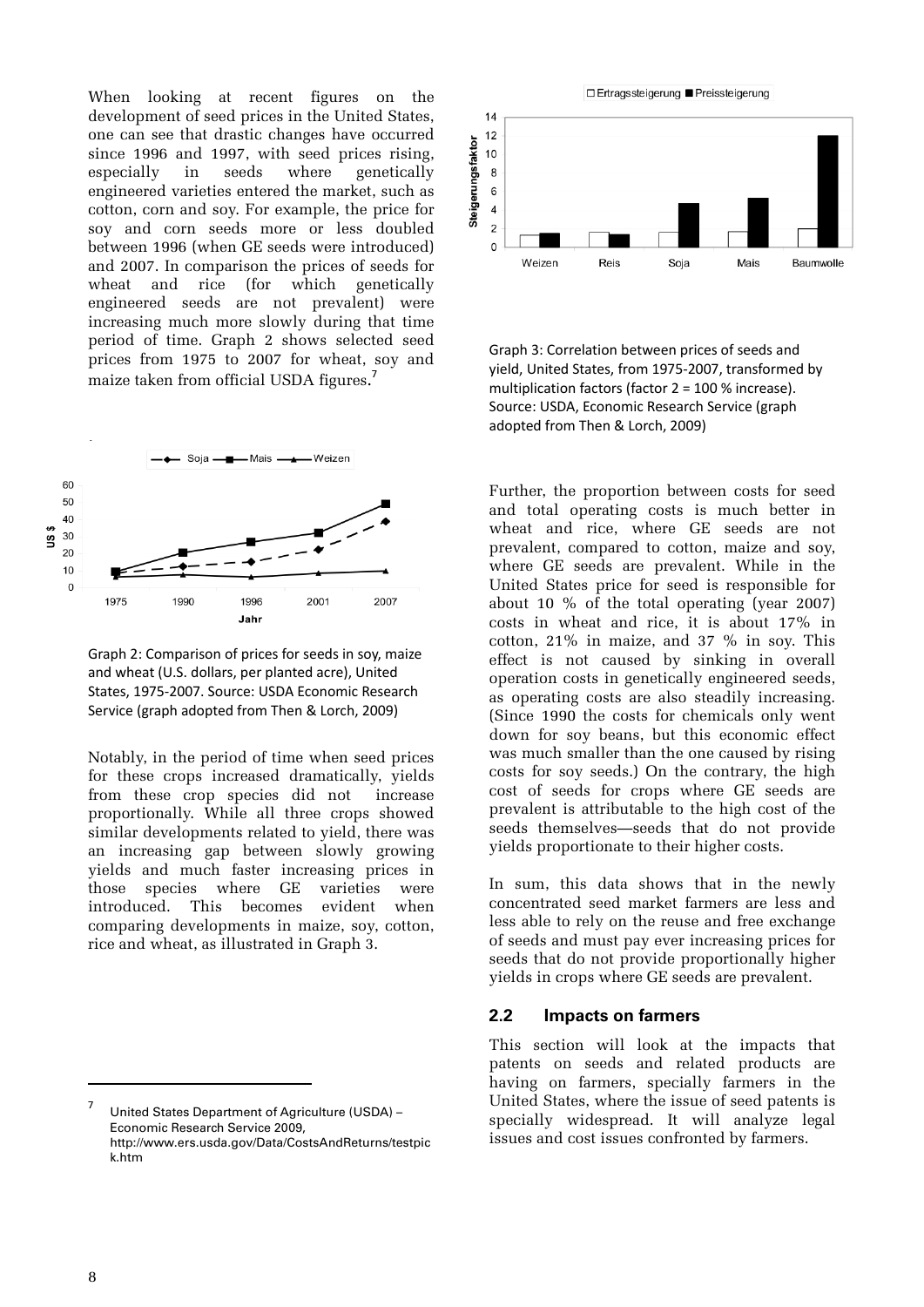When looking at recent figures on the development of seed prices in the United States, one can see that drastic changes have occurred since 1996 and 1997, with seed prices rising, especially in seeds where genetically engineered varieties entered the market, such as cotton, corn and soy. For example, the price for soy and corn seeds more or less doubled between 1996 (when GE seeds were introduced) and 2007. In comparison the prices of seeds for wheat and rice (for which genetically engineered seeds are not prevalent) were increasing much more slowly during that time period of time. Graph 2 shows selected seed prices from 1975 to 2007 for wheat, soy and maize taken from official USDA figures. 7



Graph 2: Comparison of prices for seeds in soy, maize and wheat (U.S. dollars, per planted acre), United States, 1975‐2007. Source: USDA Economic Research Service (graph adopted from Then & Lorch, 2009)

Notably, in the period of time when seed prices for these crops increased dramatically, yields from these crop species did not increase proportionally. While all three crops showed similar developments related to yield, there was an increasing gap between slowly growing yields and much faster increasing prices in those species where GE varieties were introduced. This becomes evident when comparing developments in maize, soy, cotton, rice and wheat, as illustrated in Graph 3.



Graph 3: Correlation between prices of seeds and yield, United States, from 1975‐2007, transformed by multiplication factors (factor 2 = 100 % increase). Source: USDA, Economic Research Service (graph adopted from Then & Lorch, 2009)

Further, the proportion between costs for seed and total operating costs is much better in wheat and rice, where GE seeds are not prevalent, compared to cotton, maize and soy, where GE seeds are prevalent. While in the United States price for seed is responsible for about 10 % of the total operating (year 2007) costs in wheat and rice, it is about 17% in cotton,  $21\%$  in maize, and  $37\%$  in soy. This effect is not caused by sinking in overall operation costs in genetically engineered seeds, as operating costs are also steadily increasing. (Since 1990 the costs for chemicals only went down for soy beans, but this economic effect was much smaller than the one caused by rising costs for soy seeds.) On the contrary, the high cost of seeds for crops where GE seeds are prevalent is attributable to the high cost of the seeds themselves—seeds that do not provide yields proportionate to their higher costs.

In sum, this data shows that in the newly concentrated seed market farmers are less and less able to rely on the reuse and free exchange of seeds and must pay ever increasing prices for seeds that do not provide proportionally higher yields in crops where GE seeds are prevalent.

#### **2.2 Impacts on farmers**

This section will look at the impacts that patents on seeds and related products are having on farmers, specially farmers in the United States, where the issue of seed patents is specially widespread. It will analyze legal issues and cost issues confronted by farmers.

<sup>7</sup> United States Department of Agriculture (USDA) – Economic Research Service 2009, http://www.ers.usda.gov/Data/CostsAndReturns/testpic k.htm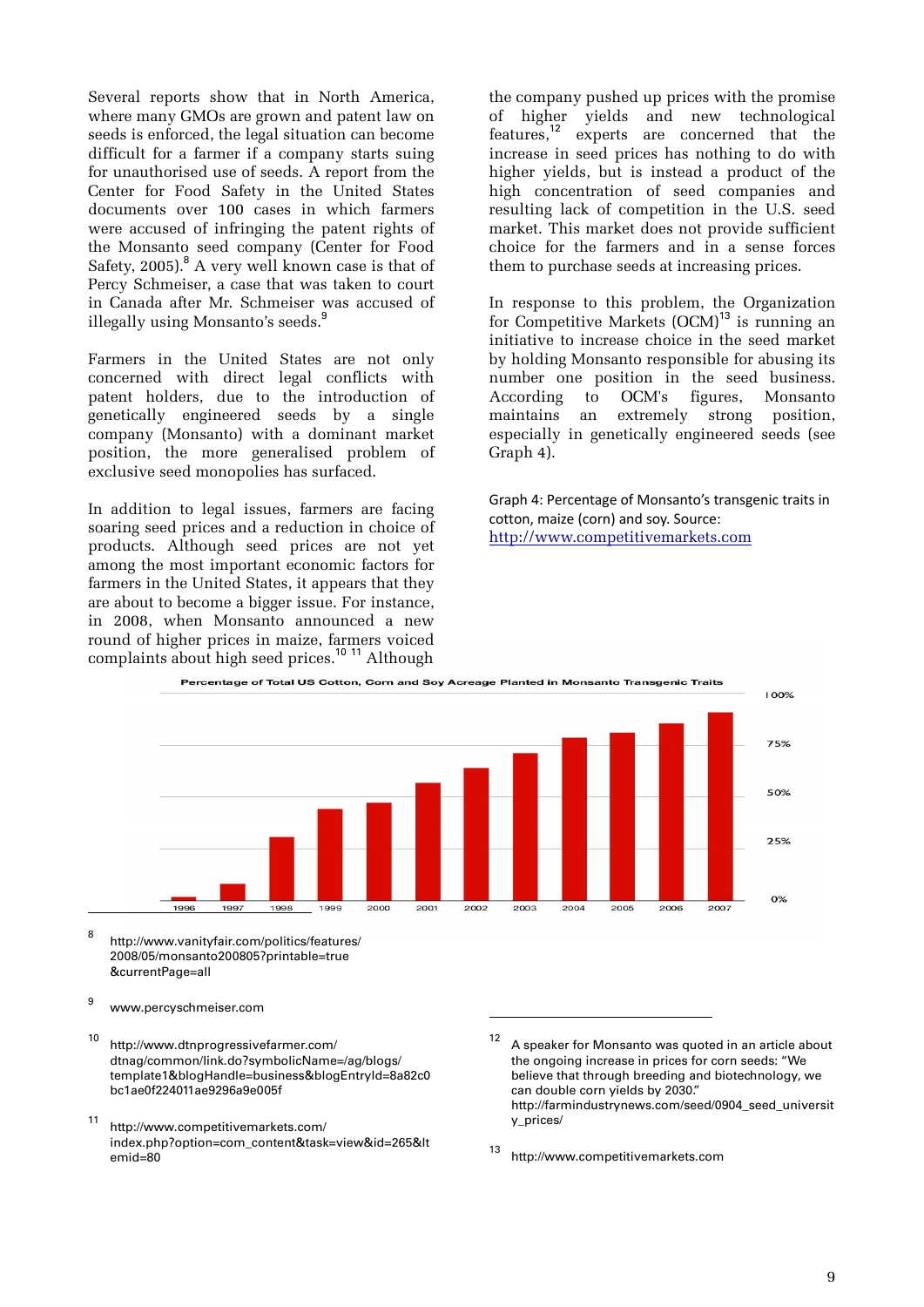Several reports show that in North America, where many GMOs are grown and patent law on seeds is enforced, the legal situation can become difficult for a farmer if a company starts suing for unauthorised use of seeds. A report from the Center for Food Safety in the United States documents over 100 cases in which farmers were accused of infringing the patent rights of the Monsanto seed company (Center for Food Safety, 2005).<sup>8</sup> A very well known case is that of Percy Schmeiser, a case that was taken to court in Canada after Mr. Schmeiser was accused of illegally using Monsanto's seeds.<sup>9</sup>

Farmers in the United States are not only concerned with direct legal conflicts with patent holders, due to the introduction of genetically engineered seeds by a single company (Monsanto) with a dominant market position, the more generalised problem of exclusive seed monopolies has surfaced.

In addition to legal issues, farmers are facing soaring seed prices and a reduction in choice of products. Although seed prices are not yet among the most important economic factors for farmers in the United States, it appears that they are about to become a bigger issue. For instance, in 2008, when Monsanto announced a new round of higher prices in maize, farmers voiced complaints about high seed prices.<sup>10</sup> <sup>11</sup> Although

the company pushed up prices with the promise of higher yields and new technological features,<sup>12</sup> experts are concerned that the increase in seed prices has nothing to do with higher yields, but is instead a product of the high concentration of seed companies and resulting lack of competition in the U.S. seed market. This market does not provide sufficient choice for the farmers and in a sense forces them to purchase seeds at increasing prices.

In response to this problem, the Organization for Competitive Markets  $(OCM)^{13}$  is running an initiative to increase choice in the seed market by holding Monsanto responsible for abusing its number one position in the seed business. According to OCM's figures, Monsanto maintains an extremely strong position, especially in genetically engineered seeds (see Graph 4).

Graph 4: Percentage of Monsanto's transgenic traits in cotton, maize (corn) and soy. Source: http://www.competitivemarkets.com



1

8 http://www.vanityfair.com/politics/features/ 2008/05/monsanto200805?printable=true &currentPage=all

9 www.percyschmeiser.com

 $\overline{a}$ 

- 10 http://www.dtnprogressivefarmer.com/ dtnag/common/link.do?symbolicName=/ag/blogs/ template1&blogHandle=business&blogEntryId=8a82c0 bc1ae0f224011ae9296a9e005f
- 11 http://www.competitivemarkets.com/ index.php?option=com\_content&task=view&id=265&It emid=80
- <sup>12</sup> A speaker for Monsanto was quoted in an article about the ongoing increase in prices for corn seeds: "We believe that through breeding and biotechnology, we can double corn yields by 2030." http://farmindustrynews.com/seed/0904\_seed\_universit y\_prices/

13 http://www.competitivemarkets.com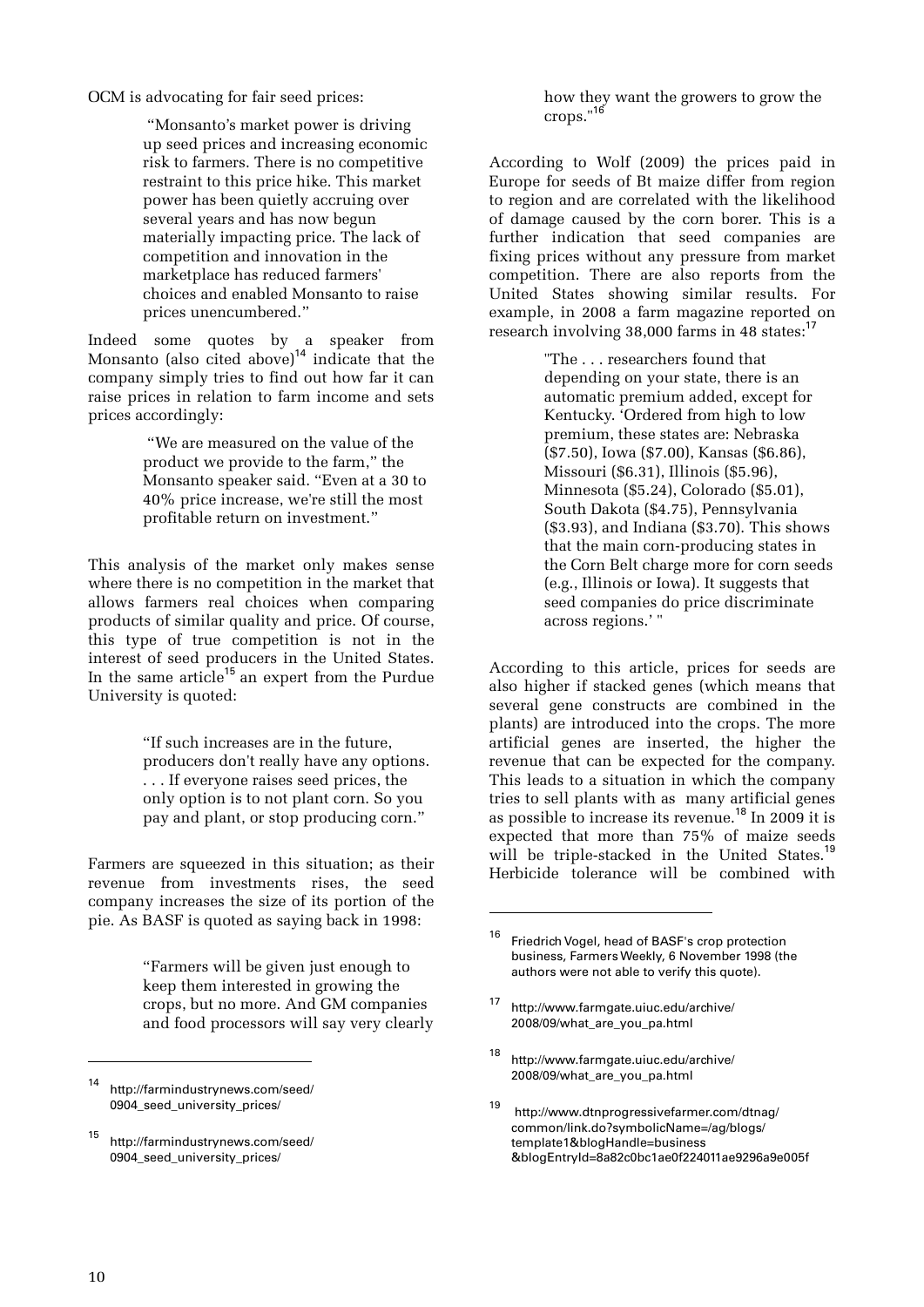OCM is advocating for fair seed prices:

 "Monsanto's market power is driving up seed prices and increasing economic risk to farmers. There is no competitive restraint to this price hike. This market power has been quietly accruing over several years and has now begun materially impacting price. The lack of competition and innovation in the marketplace has reduced farmers' choices and enabled Monsanto to raise prices unencumbered."

Indeed some quotes by a speaker from Monsanto (also cited above)<sup>14</sup> indicate that the company simply tries to find out how far it can raise prices in relation to farm income and sets prices accordingly:

> "We are measured on the value of the product we provide to the farm," the Monsanto speaker said. "Even at a 30 to 40% price increase, we're still the most profitable return on investment."

This analysis of the market only makes sense where there is no competition in the market that allows farmers real choices when comparing products of similar quality and price. Of course, this type of true competition is not in the interest of seed producers in the United States. In the same article<sup>15</sup> an expert from the Purdue University is quoted:

> "If such increases are in the future, producers don't really have any options. . . . If everyone raises seed prices, the only option is to not plant corn. So you pay and plant, or stop producing corn."

Farmers are squeezed in this situation; as their revenue from investments rises, the seed company increases the size of its portion of the pie. As BASF is quoted as saying back in 1998:

> "Farmers will be given just enough to keep them interested in growing the crops, but no more. And GM companies and food processors will say very clearly

how they want the growers to grow the  $\text{cross.}^{\prime\prime 16}$ 

According to Wolf (2009) the prices paid in Europe for seeds of Bt maize differ from region to region and are correlated with the likelihood of damage caused by the corn borer. This is a further indication that seed companies are fixing prices without any pressure from market competition. There are also reports from the United States showing similar results. For example, in 2008 a farm magazine reported on research involving 38,000 farms in 48 states:<sup>1</sup>

> "The . . . researchers found that depending on your state, there is an automatic premium added, except for Kentucky. 'Ordered from high to low premium, these states are: Nebraska (\$7.50), Iowa (\$7.00), Kansas (\$6.86), Missouri (\$6.31), Illinois (\$5.96), Minnesota (\$5.24), Colorado (\$5.01), South Dakota (\$4.75), Pennsylvania (\$3.93), and Indiana (\$3.70). This shows that the main corn-producing states in the Corn Belt charge more for corn seeds (e.g., Illinois or Iowa). It suggests that seed companies do price discriminate across regions.' "

According to this article, prices for seeds are also higher if stacked genes (which means that several gene constructs are combined in the plants) are introduced into the crops. The more artificial genes are inserted, the higher the revenue that can be expected for the company. This leads to a situation in which the company tries to sell plants with as many artificial genes as possible to increase its revenue.<sup>18</sup> In 2009 it is expected that more than 75% of maize seeds will be triple-stacked in the United States.<sup>1</sup> Herbicide tolerance will be combined with

1

<sup>14</sup> http://farmindustrynews.com/seed/ 0904\_seed\_university\_prices/

<sup>15</sup> http://farmindustrynews.com/seed/ 0904\_seed\_university\_prices/

<sup>&</sup>lt;sup>16</sup> Friedrich Vogel, head of BASF's crop protection business, Farmers Weekly, 6 November 1998 (the authors were not able to verify this quote).

<sup>17</sup> http://www.farmgate.uiuc.edu/archive/ 2008/09/what\_are\_you\_pa.html

<sup>18</sup> http://www.farmgate.uiuc.edu/archive/ 2008/09/what\_are\_you\_pa.html

<sup>19</sup> http://www.dtnprogressivefarmer.com/dtnag/ common/link.do?symbolicName=/ag/blogs/ template1&blogHandle=business &blogEntryId=8a82c0bc1ae0f224011ae9296a9e005f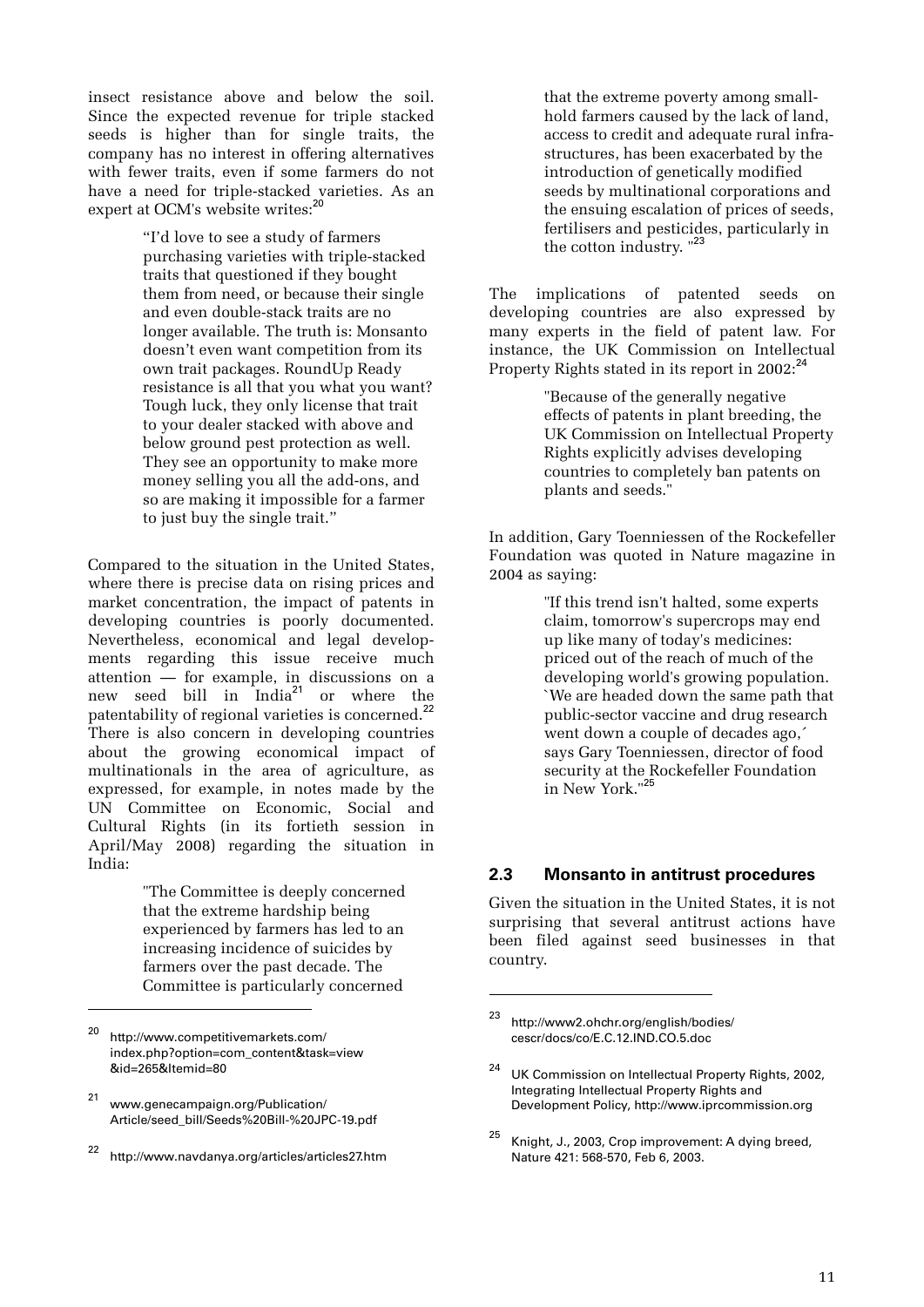insect resistance above and below the soil. Since the expected revenue for triple stacked seeds is higher than for single traits, the company has no interest in offering alternatives with fewer traits, even if some farmers do not have a need for triple-stacked varieties. As an expert at OCM's website writes:<sup>20</sup>

> "I'd love to see a study of farmers purchasing varieties with triple-stacked traits that questioned if they bought them from need, or because their single and even double-stack traits are no longer available. The truth is: Monsanto doesn't even want competition from its own trait packages. RoundUp Ready resistance is all that you what you want? Tough luck, they only license that trait to your dealer stacked with above and below ground pest protection as well. They see an opportunity to make more money selling you all the add-ons, and so are making it impossible for a farmer to just buy the single trait."

Compared to the situation in the United States, where there is precise data on rising prices and market concentration, the impact of patents in developing countries is poorly documented. Nevertheless, economical and legal developments regarding this issue receive much attention — for example, in discussions on a new seed bill in India<sup>21</sup> or where the patentability of regional varieties is concerned.<sup>22</sup> There is also concern in developing countries about the growing economical impact of multinationals in the area of agriculture, as expressed, for example, in notes made by the UN Committee on Economic, Social and Cultural Rights (in its fortieth session in April/May 2008) regarding the situation in India:

> "The Committee is deeply concerned that the extreme hardship being experienced by farmers has led to an increasing incidence of suicides by farmers over the past decade. The Committee is particularly concerned

 $\overline{a}$ 

that the extreme poverty among smallhold farmers caused by the lack of land, access to credit and adequate rural infrastructures, has been exacerbated by the introduction of genetically modified seeds by multinational corporations and the ensuing escalation of prices of seeds, fertilisers and pesticides, particularly in the cotton industry. "23

The implications of patented seeds on developing countries are also expressed by many experts in the field of patent law. For instance, the UK Commission on Intellectual Property Rights stated in its report in 2002:<sup>24</sup>

> "Because of the generally negative effects of patents in plant breeding, the UK Commission on Intellectual Property Rights explicitly advises developing countries to completely ban patents on plants and seeds."

In addition, Gary Toenniessen of the Rockefeller Foundation was quoted in Nature magazine in 2004 as saying:

> "If this trend isn't halted, some experts claim, tomorrow's supercrops may end up like many of today's medicines: priced out of the reach of much of the developing world's growing population. `We are headed down the same path that public-sector vaccine and drug research went down a couple of decades ago,´ says Gary Toenniessen, director of food security at the Rockefeller Foundation in New York."<sup>25</sup>

#### **2.3 Monsanto in antitrust procedures**

Given the situation in the United States, it is not surprising that several antitrust actions have been filed against seed businesses in that country.

1

<sup>20</sup> http://www.competitivemarkets.com/ index.php?option=com\_content&task=view &id=265&Itemid=80

<sup>21</sup> www.genecampaign.org/Publication/ Article/seed\_bill/Seeds%20Bill-%20JPC-19.pdf

<sup>22</sup> http://www.navdanya.org/articles/articles27.htm

<sup>23</sup> http://www2.ohchr.org/english/bodies/ cescr/docs/co/E.C.12.IND.CO.5.doc

<sup>&</sup>lt;sup>24</sup> UK Commission on Intellectual Property Rights, 2002, Integrating Intellectual Property Rights and Development Policy, http://www.iprcommission.org

<sup>&</sup>lt;sup>25</sup> Knight, J., 2003, Crop improvement: A dying breed, Nature 421: 568-570, Feb 6, 2003.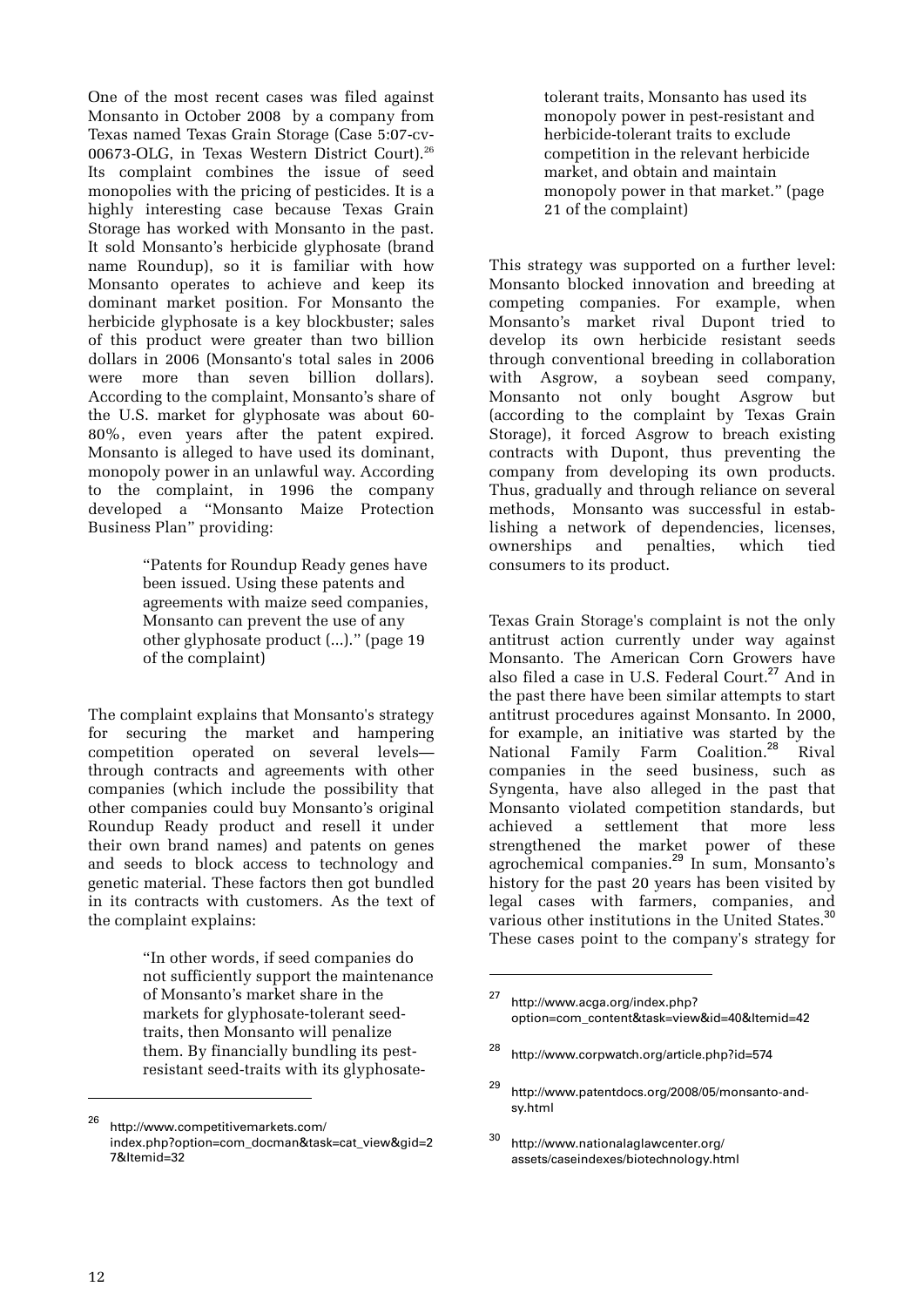One of the most recent cases was filed against Monsanto in October 2008 by a company from Texas named Texas Grain Storage (Case 5:07-cv-00673-OLG, in Texas Western District Court).26 Its complaint combines the issue of seed monopolies with the pricing of pesticides. It is a highly interesting case because Texas Grain Storage has worked with Monsanto in the past. It sold Monsanto's herbicide glyphosate (brand name Roundup), so it is familiar with how Monsanto operates to achieve and keep its dominant market position. For Monsanto the herbicide glyphosate is a key blockbuster; sales of this product were greater than two billion dollars in 2006 (Monsanto's total sales in 2006 were more than seven billion dollars). According to the complaint, Monsanto's share of the U.S. market for glyphosate was about 60- 80%, even years after the patent expired. Monsanto is alleged to have used its dominant, monopoly power in an unlawful way. According to the complaint, in 1996 the company developed a "Monsanto Maize Protection Business Plan" providing:

> "Patents for Roundup Ready genes have been issued. Using these patents and agreements with maize seed companies, Monsanto can prevent the use of any other glyphosate product (...)." (page 19 of the complaint)

The complaint explains that Monsanto's strategy for securing the market and hampering competition operated on several levels through contracts and agreements with other companies (which include the possibility that other companies could buy Monsanto's original Roundup Ready product and resell it under their own brand names) and patents on genes and seeds to block access to technology and genetic material. These factors then got bundled in its contracts with customers. As the text of the complaint explains:

> "In other words, if seed companies do not sufficiently support the maintenance of Monsanto's market share in the markets for glyphosate-tolerant seedtraits, then Monsanto will penalize them. By financially bundling its pestresistant seed-traits with its glyphosate-

tolerant traits, Monsanto has used its monopoly power in pest-resistant and herbicide-tolerant traits to exclude competition in the relevant herbicide market, and obtain and maintain monopoly power in that market." (page 21 of the complaint)

This strategy was supported on a further level: Monsanto blocked innovation and breeding at competing companies. For example, when Monsanto's market rival Dupont tried to develop its own herbicide resistant seeds through conventional breeding in collaboration with Asgrow, a soybean seed company, Monsanto not only bought Asgrow but (according to the complaint by Texas Grain Storage), it forced Asgrow to breach existing contracts with Dupont, thus preventing the company from developing its own products. Thus, gradually and through reliance on several methods, Monsanto was successful in establishing a network of dependencies, licenses, ownerships and penalties, which tied consumers to its product.

Texas Grain Storage's complaint is not the only antitrust action currently under way against Monsanto. The American Corn Growers have also filed a case in U.S. Federal Court.<sup>27</sup> And in the past there have been similar attempts to start antitrust procedures against Monsanto. In 2000, for example, an initiative was started by the National Family Farm Coalition.<sup>28</sup> Rival companies in the seed business, such as Syngenta, have also alleged in the past that Monsanto violated competition standards, but achieved a settlement that more less strengthened the market power of these agrochemical companies.<sup>29</sup> In sum, Monsanto's history for the past 20 years has been visited by legal cases with farmers, companies, and various other institutions in the United States.<sup>30</sup> These cases point to the company's strategy for

<u>.</u>

<sup>26</sup> http://www.competitivemarkets.com/ index.php?option=com\_docman&task=cat\_view&gid=2 7&Itemid=32

<sup>27</sup> http://www.acga.org/index.php? option=com\_content&task=view&id=40&Itemid=42

<sup>28</sup> http://www.corpwatch.org/article.php?id=574

<sup>29</sup> http://www.patentdocs.org/2008/05/monsanto-andsy.html

<sup>30</sup> http://www.nationalaglawcenter.org/ assets/caseindexes/biotechnology.html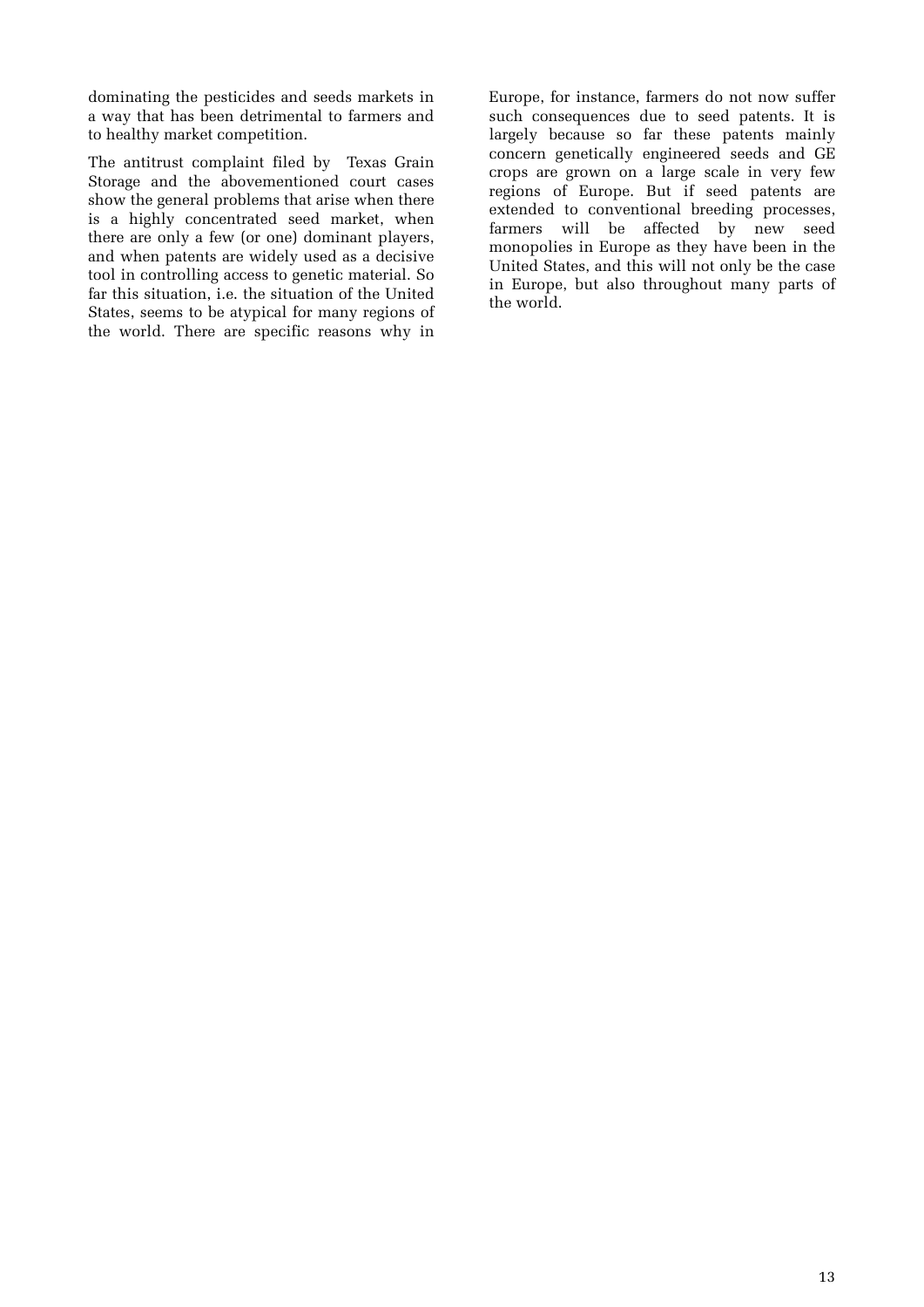dominating the pesticides and seeds markets in a way that has been detrimental to farmers and to healthy market competition.

The antitrust complaint filed by Texas Grain Storage and the abovementioned court cases show the general problems that arise when there is a highly concentrated seed market, when there are only a few (or one) dominant players, and when patents are widely used as a decisive tool in controlling access to genetic material. So far this situation, i.e. the situation of the United States, seems to be atypical for many regions of the world. There are specific reasons why in Europe, for instance, farmers do not now suffer such consequences due to seed patents. It is largely because so far these patents mainly concern genetically engineered seeds and GE crops are grown on a large scale in very few regions of Europe. But if seed patents are extended to conventional breeding processes, farmers will be affected by new seed monopolies in Europe as they have been in the United States, and this will not only be the case in Europe, but also throughout many parts of the world.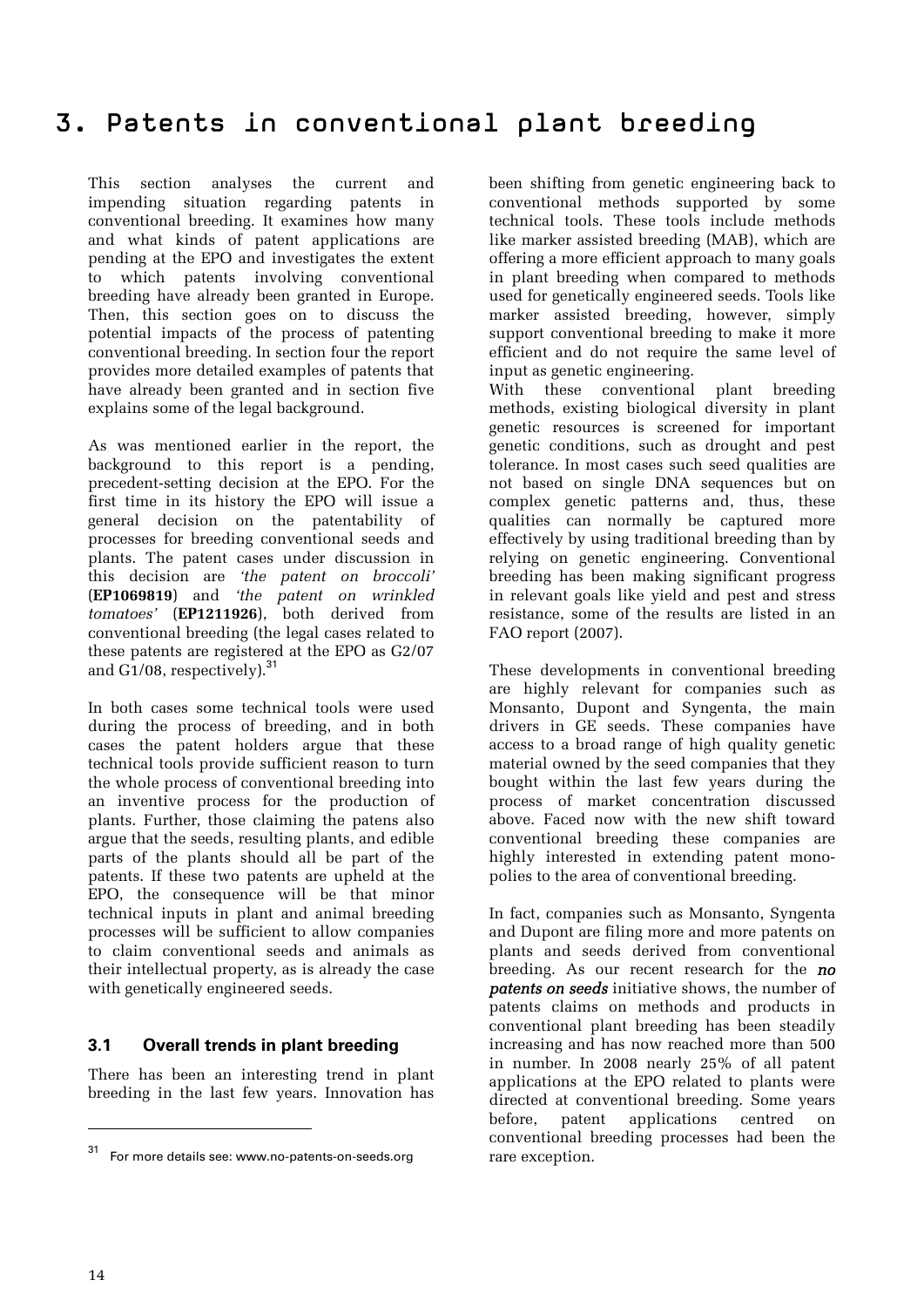This section analyses the current and impending situation regarding patents in conventional breeding. It examines how many and what kinds of patent applications are pending at the EPO and investigates the extent to which patents involving conventional breeding have already been granted in Europe. Then, this section goes on to discuss the potential impacts of the process of patenting conventional breeding. In section four the report provides more detailed examples of patents that have already been granted and in section five explains some of the legal background.

As was mentioned earlier in the report, the background to this report is a pending, precedent-setting decision at the EPO. For the first time in its history the EPO will issue a general decision on the patentability of processes for breeding conventional seeds and plants. The patent cases under discussion in this decision are *'the patent on broccoli'* (**EP1069819**) and *'the patent on wrinkled tomatoes'* (**EP1211926**), both derived from conventional breeding (the legal cases related to these patents are registered at the EPO as G2/07 and  $G1/08$ , respectively).<sup>31</sup>

In both cases some technical tools were used during the process of breeding, and in both cases the patent holders argue that these technical tools provide sufficient reason to turn the whole process of conventional breeding into an inventive process for the production of plants. Further, those claiming the patens also argue that the seeds, resulting plants, and edible parts of the plants should all be part of the patents. If these two patents are upheld at the EPO, the consequence will be that minor technical inputs in plant and animal breeding processes will be sufficient to allow companies to claim conventional seeds and animals as their intellectual property, as is already the case with genetically engineered seeds.

#### **3.1 Overall trends in plant breeding**

There has been an interesting trend in plant breeding in the last few years. Innovation has

been shifting from genetic engineering back to conventional methods supported by some technical tools. These tools include methods like marker assisted breeding (MAB), which are offering a more efficient approach to many goals in plant breeding when compared to methods used for genetically engineered seeds. Tools like marker assisted breeding, however, simply support conventional breeding to make it more efficient and do not require the same level of input as genetic engineering.

With these conventional plant breeding methods, existing biological diversity in plant genetic resources is screened for important genetic conditions, such as drought and pest tolerance. In most cases such seed qualities are not based on single DNA sequences but on complex genetic patterns and, thus, these qualities can normally be captured more effectively by using traditional breeding than by relying on genetic engineering. Conventional breeding has been making significant progress in relevant goals like yield and pest and stress resistance, some of the results are listed in an FAO report (2007).

These developments in conventional breeding are highly relevant for companies such as Monsanto, Dupont and Syngenta, the main drivers in GE seeds. These companies have access to a broad range of high quality genetic material owned by the seed companies that they bought within the last few years during the process of market concentration discussed above. Faced now with the new shift toward conventional breeding these companies are highly interested in extending patent monopolies to the area of conventional breeding.

In fact, companies such as Monsanto, Syngenta and Dupont are filing more and more patents on plants and seeds derived from conventional breeding. As our recent research for the *no patents on seeds* initiative shows, the number of patents claims on methods and products in conventional plant breeding has been steadily increasing and has now reached more than 500 in number. In 2008 nearly 25% of all patent applications at the EPO related to plants were directed at conventional breeding. Some years before, patent applications centred on conventional breeding processes had been the rare exception.

<sup>31</sup> For more details see: www.no-patents-on-seeds.org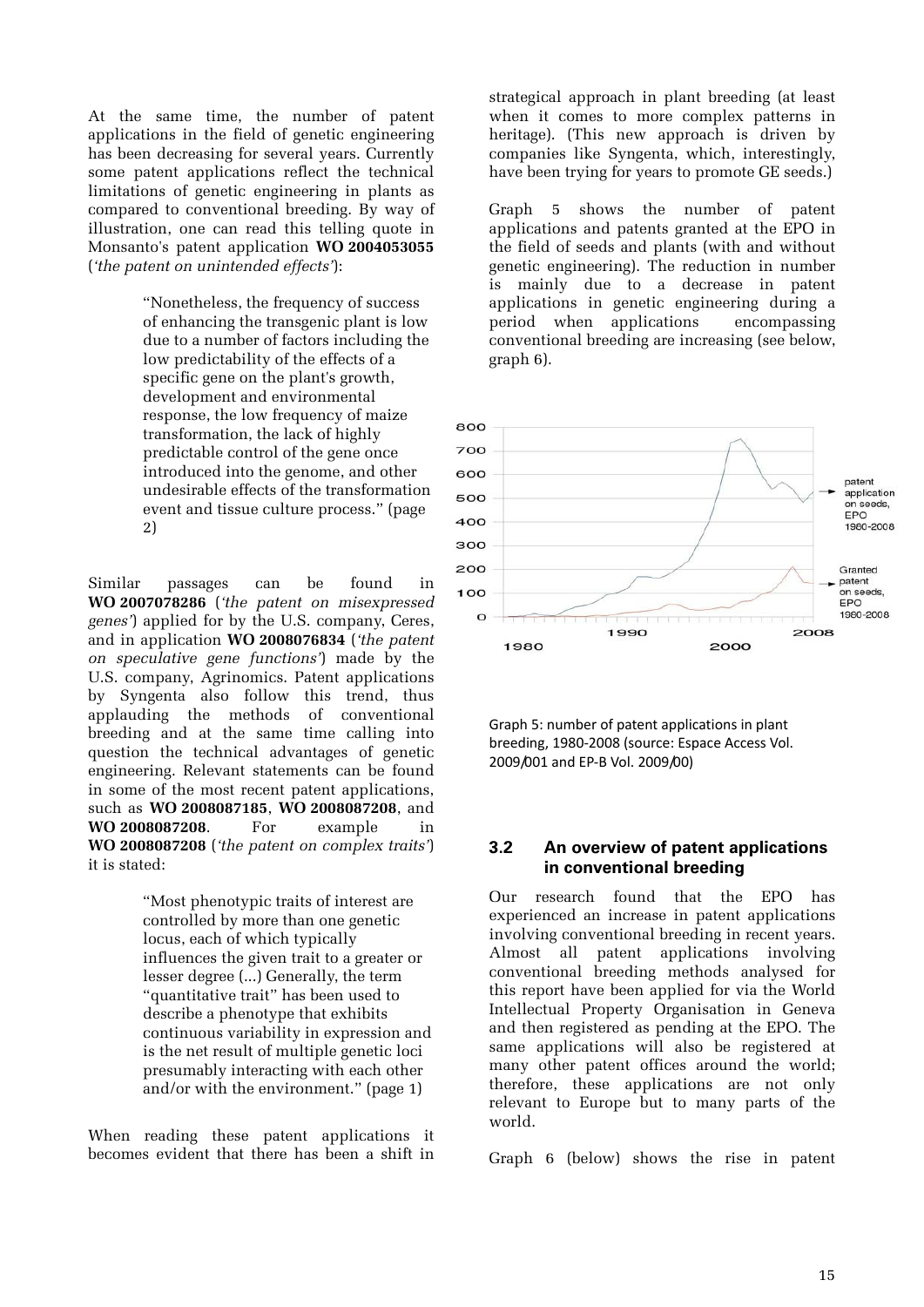At the same time, the number of patent applications in the field of genetic engineering has been decreasing for several years. Currently some patent applications reflect the technical limitations of genetic engineering in plants as compared to conventional breeding. By way of illustration, one can read this telling quote in Monsanto's patent application **WO 2004053055** (*'the patent on unintended effects'*):

> "Nonetheless, the frequency of success of enhancing the transgenic plant is low due to a number of factors including the low predictability of the effects of a specific gene on the plant's growth, development and environmental response, the low frequency of maize transformation, the lack of highly predictable control of the gene once introduced into the genome, and other undesirable effects of the transformation event and tissue culture process." (page 2)

Similar passages can be found in **WO 2007078286** (*'the patent on misexpressed genes'*) applied for by the U.S. company, Ceres, and in application **WO 2008076834** (*'the patent on speculative gene functions'*) made by the U.S. company, Agrinomics. Patent applications by Syngenta also follow this trend, thus applauding the methods of conventional breeding and at the same time calling into question the technical advantages of genetic engineering. Relevant statements can be found in some of the most recent patent applications, such as **WO 2008087185**, **WO 2008087208**, and **WO 2008087208**. For example in **WO 2008087208** (*'the patent on complex traits'*) it is stated:

> "Most phenotypic traits of interest are controlled by more than one genetic locus, each of which typically influences the given trait to a greater or lesser degree (...) Generally, the term "quantitative trait" has been used to describe a phenotype that exhibits continuous variability in expression and is the net result of multiple genetic loci presumably interacting with each other and/or with the environment." (page 1)

When reading these patent applications it becomes evident that there has been a shift in strategical approach in plant breeding (at least when it comes to more complex patterns in heritage). (This new approach is driven by companies like Syngenta, which, interestingly, have been trying for years to promote GE seeds.)

Graph 5 shows the number of patent applications and patents granted at the EPO in the field of seeds and plants (with and without genetic engineering). The reduction in number is mainly due to a decrease in patent applications in genetic engineering during a period when applications encompassing conventional breeding are increasing (see below, graph 6).



Graph 5: number of patent applications in plant breeding, 1980‐2008 (source: Espace Access Vol. 2009/001 and EP‐B Vol. 2009/00)

#### **3.2 An overview of patent applications in conventional breeding**

Our research found that the EPO has experienced an increase in patent applications involving conventional breeding in recent years. Almost all patent applications involving conventional breeding methods analysed for this report have been applied for via the World Intellectual Property Organisation in Geneva and then registered as pending at the EPO. The same applications will also be registered at many other patent offices around the world; therefore, these applications are not only relevant to Europe but to many parts of the world.

Graph 6 (below) shows the rise in patent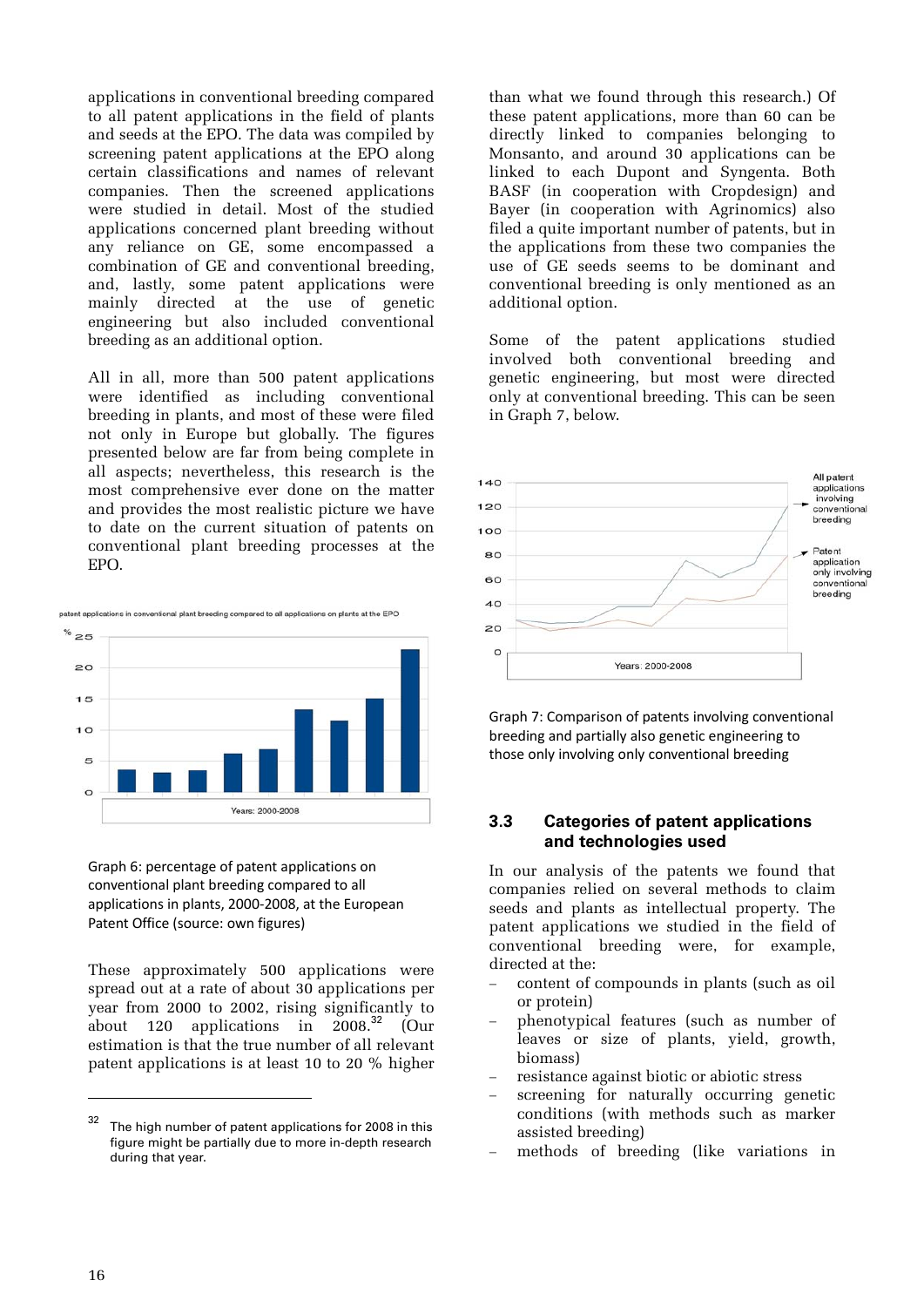applications in conventional breeding compared to all patent applications in the field of plants and seeds at the EPO. The data was compiled by screening patent applications at the EPO along certain classifications and names of relevant companies. Then the screened applications were studied in detail. Most of the studied applications concerned plant breeding without any reliance on GE, some encompassed a combination of GE and conventional breeding, and, lastly, some patent applications were mainly directed at the use of genetic engineering but also included conventional breeding as an additional option.

All in all, more than 500 patent applications were identified as including conventional breeding in plants, and most of these were filed not only in Europe but globally. The figures presented below are far from being complete in all aspects; nevertheless, this research is the most comprehensive ever done on the matter and provides the most realistic picture we have to date on the current situation of patents on conventional plant breeding processes at the EPO.

nt applications in conventional plant breeding compared to all applications on plants at the EPO



Graph 6: percentage of patent applications on conventional plant breeding compared to all applications in plants, 2000‐2008, at the European Patent Office (source: own figures)

These approximately 500 applications were spread out at a rate of about 30 applications per year from 2000 to 2002, rising significantly to about 120 applications in  $2008.<sup>32</sup>$  (Our estimation is that the true number of all relevant patent applications is at least 10 to 20 % higher

than what we found through this research.) Of these patent applications, more than 60 can be directly linked to companies belonging to Monsanto, and around 30 applications can be linked to each Dupont and Syngenta. Both BASF (in cooperation with Cropdesign) and Bayer (in cooperation with Agrinomics) also filed a quite important number of patents, but in the applications from these two companies the use of GE seeds seems to be dominant and conventional breeding is only mentioned as an additional option.

Some of the patent applications studied involved both conventional breeding and genetic engineering, but most were directed only at conventional breeding. This can be seen in Graph 7, below.



Graph 7: Comparison of patents involving conventional breeding and partially also genetic engineering to those only involving only conventional breeding

#### **3.3 Categories of patent applications and technologies used**

In our analysis of the patents we found that companies relied on several methods to claim seeds and plants as intellectual property. The patent applications we studied in the field of conventional breeding were, for example, directed at the:

- content of compounds in plants (such as oil or protein)
- phenotypical features (such as number of leaves or size of plants, yield, growth, biomass)
- resistance against biotic or abiotic stress
- screening for naturally occurring genetic conditions (with methods such as marker assisted breeding)
- methods of breeding (like variations in

The high number of patent applications for 2008 in this figure might be partially due to more in-depth research during that year.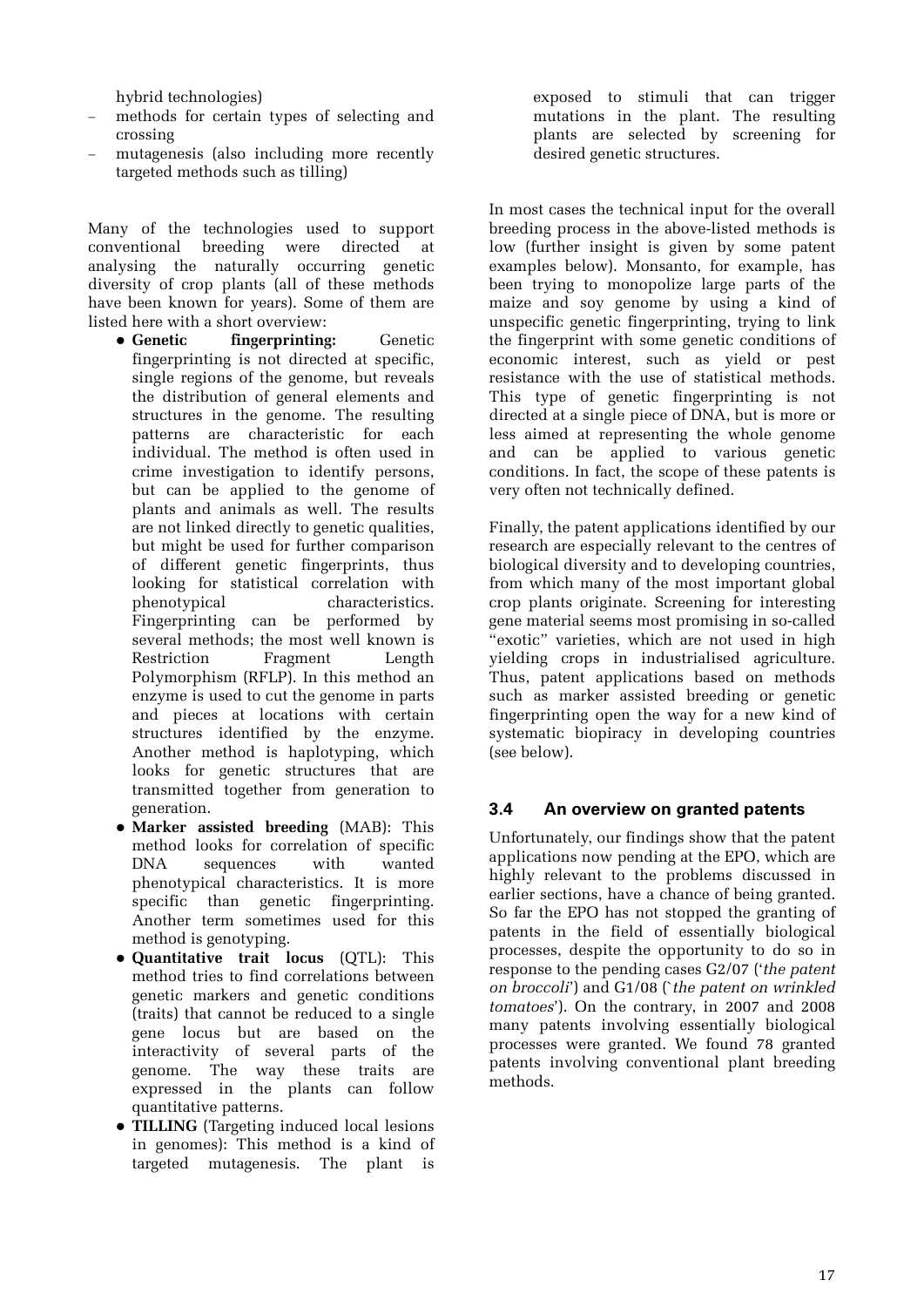hybrid technologies)

- methods for certain types of selecting and crossing
- mutagenesis (also including more recently targeted methods such as tilling)

Many of the technologies used to support conventional breeding were directed at analysing the naturally occurring genetic diversity of crop plants (all of these methods have been known for years). Some of them are listed here with a short overview:

- **Genetic fingerprinting:** Genetic fingerprinting is not directed at specific, single regions of the genome, but reveals the distribution of general elements and structures in the genome. The resulting patterns are characteristic for each individual. The method is often used in crime investigation to identify persons, but can be applied to the genome of plants and animals as well. The results are not linked directly to genetic qualities, but might be used for further comparison of different genetic fingerprints, thus looking for statistical correlation with phenotypical characteristics. Fingerprinting can be performed by several methods; the most well known is Restriction Fragment Length Polymorphism (RFLP). In this method an enzyme is used to cut the genome in parts and pieces at locations with certain structures identified by the enzyme. Another method is haplotyping, which looks for genetic structures that are transmitted together from generation to generation.
- **Marker assisted breeding** (MAB): This method looks for correlation of specific DNA sequences with wanted phenotypical characteristics. It is more specific than genetic fingerprinting. Another term sometimes used for this method is genotyping.
- **Quantitative trait locus** (QTL): This method tries to find correlations between genetic markers and genetic conditions (traits) that cannot be reduced to a single gene locus but are based on the interactivity of several parts of the genome. The way these traits are expressed in the plants can follow quantitative patterns.
- **TILLING** (Targeting induced local lesions in genomes): This method is a kind of targeted mutagenesis. The plant is

exposed to stimuli that can trigger mutations in the plant. The resulting plants are selected by screening for desired genetic structures.

In most cases the technical input for the overall breeding process in the above-listed methods is low (further insight is given by some patent examples below). Monsanto, for example, has been trying to monopolize large parts of the maize and soy genome by using a kind of unspecific genetic fingerprinting, trying to link the fingerprint with some genetic conditions of economic interest, such as yield or pest resistance with the use of statistical methods. This type of genetic fingerprinting is not directed at a single piece of DNA, but is more or less aimed at representing the whole genome and can be applied to various genetic conditions. In fact, the scope of these patents is very often not technically defined.

Finally, the patent applications identified by our research are especially relevant to the centres of biological diversity and to developing countries, from which many of the most important global crop plants originate. Screening for interesting gene material seems most promising in so-called "exotic" varieties, which are not used in high yielding crops in industrialised agriculture. Thus, patent applications based on methods such as marker assisted breeding or genetic fingerprinting open the way for a new kind of systematic biopiracy in developing countries (see below).

#### **3.4 An overview on granted patents**

Unfortunately, our findings show that the patent applications now pending at the EPO, which are highly relevant to the problems discussed in earlier sections, have a chance of being granted. So far the EPO has not stopped the granting of patents in the field of essentially biological processes, despite the opportunity to do so in response to the pending cases G2/07 ('*the patent on broccoli*') and G1/08 (`*the patent on wrinkled tomatoes*'). On the contrary, in 2007 and 2008 many patents involving essentially biological processes were granted. We found 78 granted patents involving conventional plant breeding methods.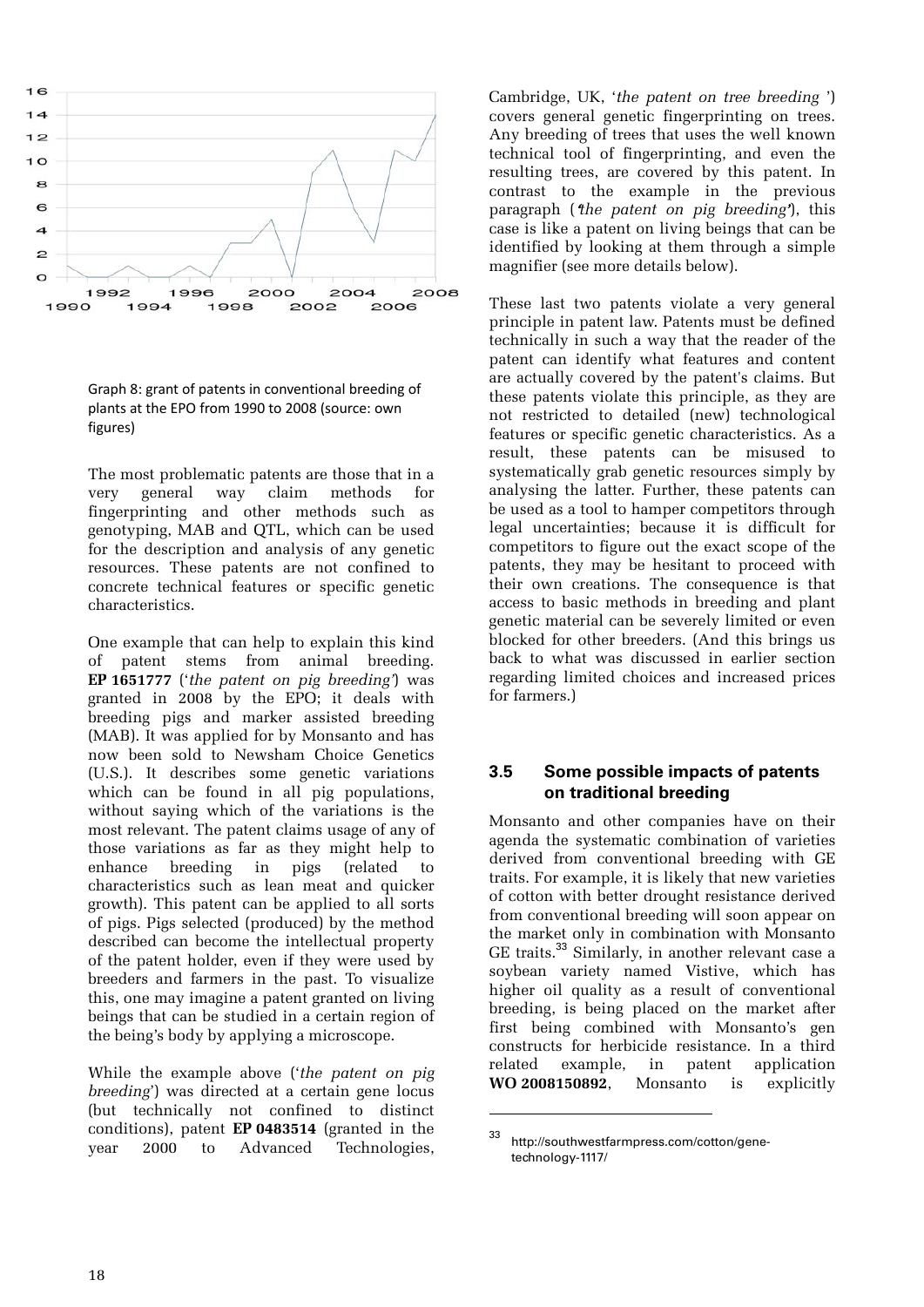

Graph 8: grant of patents in conventional breeding of plants at the EPO from 1990 to 2008 (source: own figures)

The most problematic patents are those that in a very general way claim methods for fingerprinting and other methods such as genotyping, MAB and QTL, which can be used for the description and analysis of any genetic resources. These patents are not confined to concrete technical features or specific genetic characteristics.

One example that can help to explain this kind of patent stems from animal breeding. **EP 1651777** ('*the patent on pig breeding'*) was granted in 2008 by the EPO; it deals with breeding pigs and marker assisted breeding (MAB). It was applied for by Monsanto and has now been sold to Newsham Choice Genetics (U.S.). It describes some genetic variations which can be found in all pig populations, without saying which of the variations is the most relevant. The patent claims usage of any of those variations as far as they might help to enhance breeding in pigs (related to characteristics such as lean meat and quicker growth). This patent can be applied to all sorts of pigs. Pigs selected (produced) by the method described can become the intellectual property of the patent holder, even if they were used by breeders and farmers in the past. To visualize this, one may imagine a patent granted on living beings that can be studied in a certain region of the being's body by applying a microscope.

While the example above ('*the patent on pig breeding*') was directed at a certain gene locus (but technically not confined to distinct conditions), patent **EP 0483514** (granted in the year 2000 to Advanced Technologies,

Cambridge, UK, '*the patent on tree breeding* ') covers general genetic fingerprinting on trees. Any breeding of trees that uses the well known technical tool of fingerprinting, and even the resulting trees, are covered by this patent. In contrast to the example in the previous paragraph ('*the patent on pig breeding'*), this case is like a patent on living beings that can be identified by looking at them through a simple magnifier (see more details below).

These last two patents violate a very general principle in patent law. Patents must be defined technically in such a way that the reader of the patent can identify what features and content are actually covered by the patent's claims. But these patents violate this principle, as they are not restricted to detailed (new) technological features or specific genetic characteristics. As a result, these patents can be misused to systematically grab genetic resources simply by analysing the latter. Further, these patents can be used as a tool to hamper competitors through legal uncertainties; because it is difficult for competitors to figure out the exact scope of the patents, they may be hesitant to proceed with their own creations. The consequence is that access to basic methods in breeding and plant genetic material can be severely limited or even blocked for other breeders. (And this brings us back to what was discussed in earlier section regarding limited choices and increased prices for farmers.)

#### **3.5 Some possible impacts of patents on traditional breeding**

Monsanto and other companies have on their agenda the systematic combination of varieties derived from conventional breeding with GE traits. For example, it is likely that new varieties of cotton with better drought resistance derived from conventional breeding will soon appear on the market only in combination with Monsanto GE traits.<sup>33</sup> Similarly, in another relevant case a soybean variety named Vistive, which has higher oil quality as a result of conventional breeding, is being placed on the market after first being combined with Monsanto's gen constructs for herbicide resistance. In a third related example, in patent application **WO 2008150892**, Monsanto is explicitly

1

<sup>33</sup> http://southwestfarmpress.com/cotton/genetechnology-1117/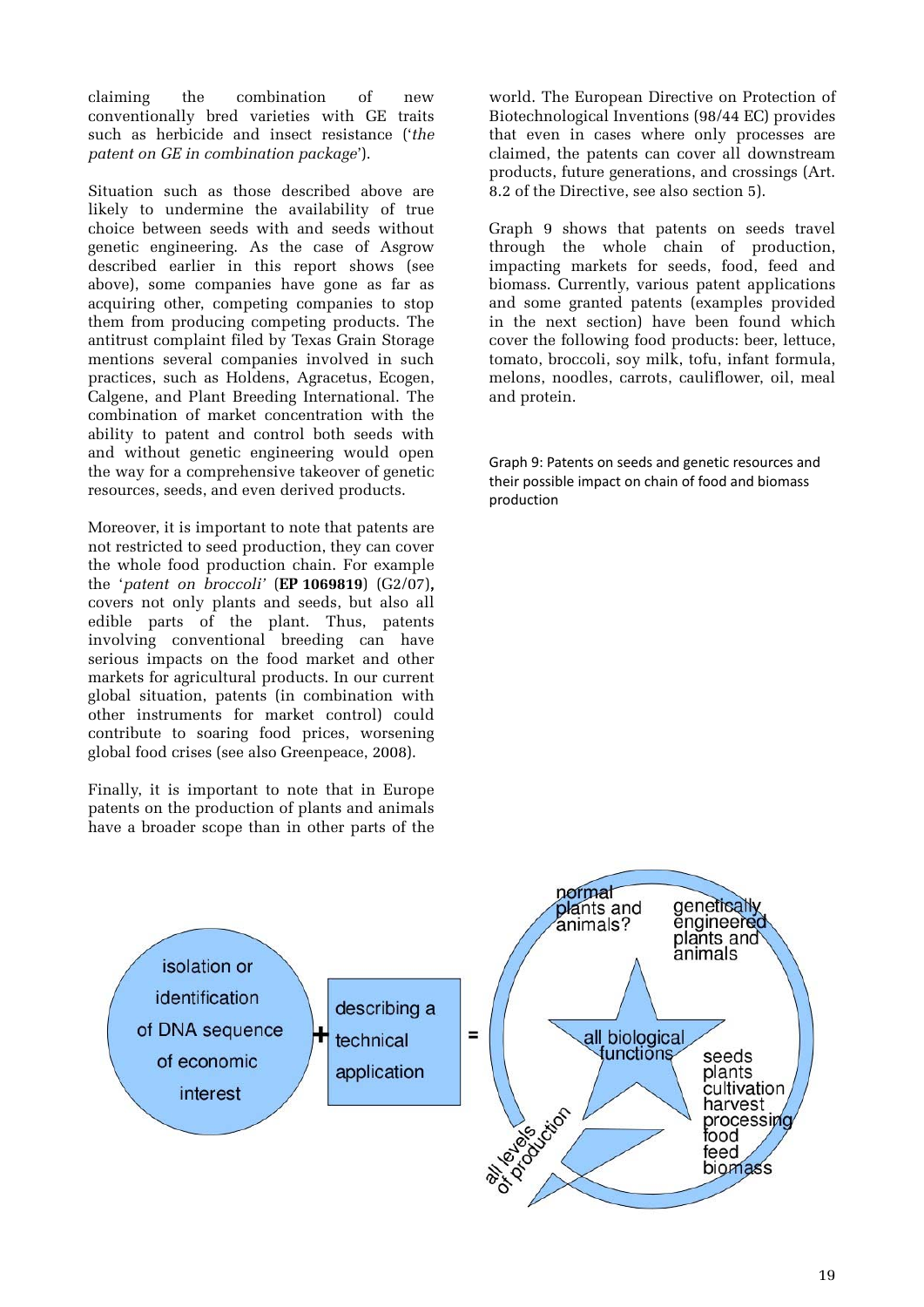claiming the combination of new conventionally bred varieties with GE traits such as herbicide and insect resistance ('*the patent on GE in combination package*').

Situation such as those described above are likely to undermine the availability of true choice between seeds with and seeds without genetic engineering. As the case of Asgrow described earlier in this report shows (see above), some companies have gone as far as acquiring other, competing companies to stop them from producing competing products. The antitrust complaint filed by Texas Grain Storage mentions several companies involved in such practices, such as Holdens, Agracetus, Ecogen, Calgene, and Plant Breeding International. The combination of market concentration with the ability to patent and control both seeds with and without genetic engineering would open the way for a comprehensive takeover of genetic resources, seeds, and even derived products.

Moreover, it is important to note that patents are not restricted to seed production, they can cover the whole food production chain. For example the '*patent on broccoli'* (**EP 1069819**) (G2/07), covers not only plants and seeds, but also all edible parts of the plant. Thus, patents involving conventional breeding can have serious impacts on the food market and other markets for agricultural products. In our current global situation, patents (in combination with other instruments for market control) could contribute to soaring food prices, worsening global food crises (see also Greenpeace, 2008).

Finally, it is important to note that in Europe patents on the production of plants and animals have a broader scope than in other parts of the

world. The European Directive on Protection of Biotechnological Inventions (98/44 EC) provides that even in cases where only processes are claimed, the patents can cover all downstream products, future generations, and crossings (Art. 8.2 of the Directive, see also section 5).

Graph 9 shows that patents on seeds travel through the whole chain of production, impacting markets for seeds, food, feed and biomass. Currently, various patent applications and some granted patents (examples provided in the next section) have been found which cover the following food products: beer, lettuce, tomato, broccoli, soy milk, tofu, infant formula, melons, noodles, carrots, cauliflower, oil, meal and protein.

Graph 9: Patents on seeds and genetic resources and their possible impact on chain of food and biomass production

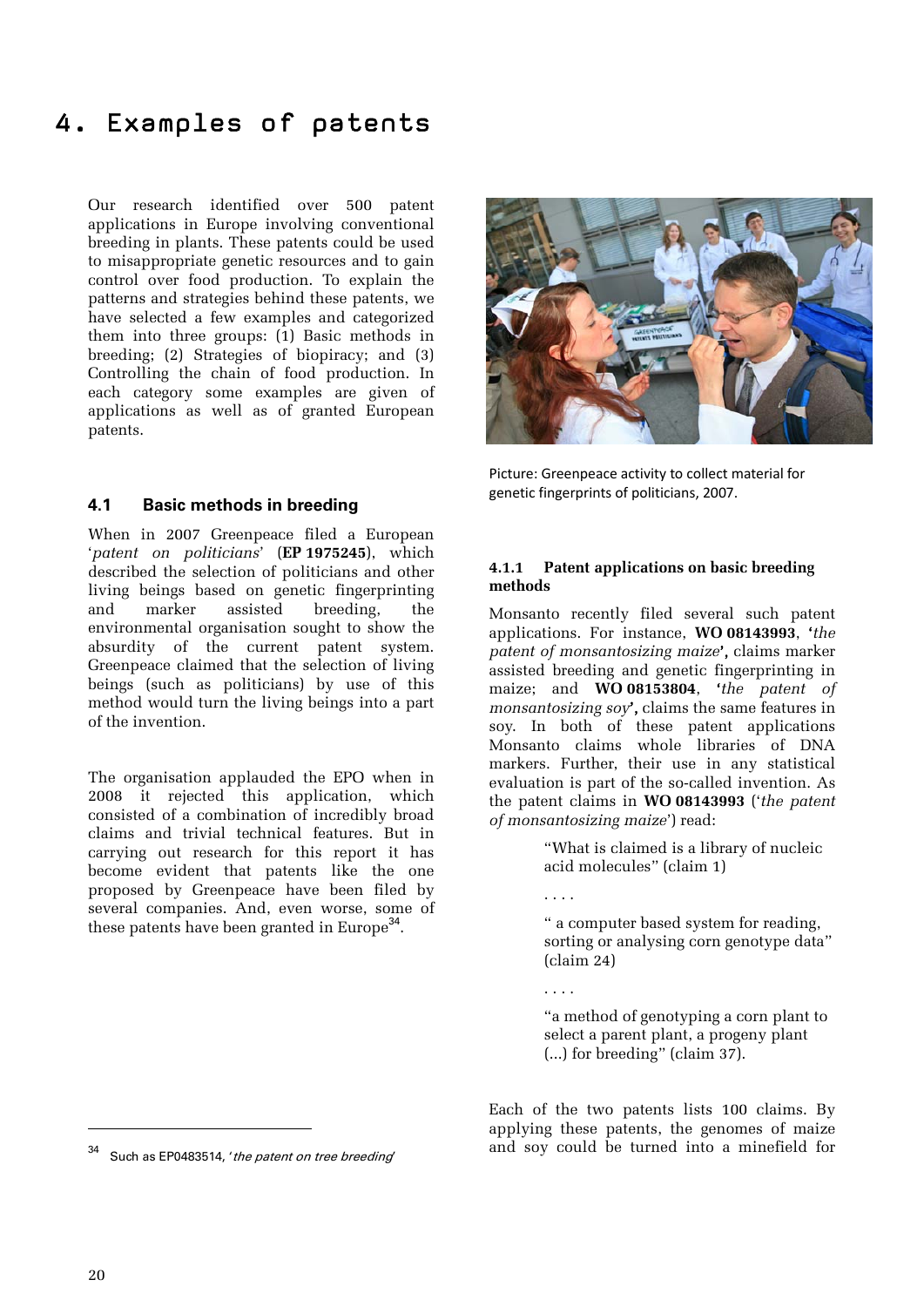### 4. Examples of patents

Our research identified over 500 patent applications in Europe involving conventional breeding in plants. These patents could be used to misappropriate genetic resources and to gain control over food production. To explain the patterns and strategies behind these patents, we have selected a few examples and categorized them into three groups: (1) Basic methods in breeding; (2) Strategies of biopiracy; and (3) Controlling the chain of food production. In each category some examples are given of applications as well as of granted European patents.

#### **4.1 Basic methods in breeding**

When in 2007 Greenpeace filed a European '*patent on politicians*' (**EP 1975245**), which described the selection of politicians and other living beings based on genetic fingerprinting and marker assisted breeding, the environmental organisation sought to show the absurdity of the current patent system. Greenpeace claimed that the selection of living beings (such as politicians) by use of this method would turn the living beings into a part of the invention.

The organisation applauded the EPO when in 2008 it rejected this application, which consisted of a combination of incredibly broad claims and trivial technical features. But in carrying out research for this report it has become evident that patents like the one proposed by Greenpeace have been filed by several companies. And, even worse, some of these patents have been granted in Europe<sup>34</sup>.



Picture: Greenpeace activity to collect material for genetic fingerprints of politicians, 2007.

#### **4.1.1 Patent applications on basic breeding methods**

Monsanto recently filed several such patent applications. For instance, **WO 08143993**, '*the patent of monsantosizing maize*', claims marker assisted breeding and genetic fingerprinting in maize; and **WO 08153804**, '*the patent of monsantosizing soy*', claims the same features in soy. In both of these patent applications Monsanto claims whole libraries of DNA markers. Further, their use in any statistical evaluation is part of the so-called invention. As the patent claims in **WO 08143993** ('*the patent of monsantosizing maize*') read:

> "What is claimed is a library of nucleic acid molecules" (claim 1)

. . . .

. . . .

" a computer based system for reading, sorting or analysing corn genotype data" (claim 24)

"a method of genotyping a corn plant to select a parent plant, a progeny plant (...) for breeding" (claim 37).

Each of the two patents lists 100 claims. By applying these patents, the genomes of maize and soy could be turned into a minefield for

Such as EP0483514, 'the patent on tree breeding'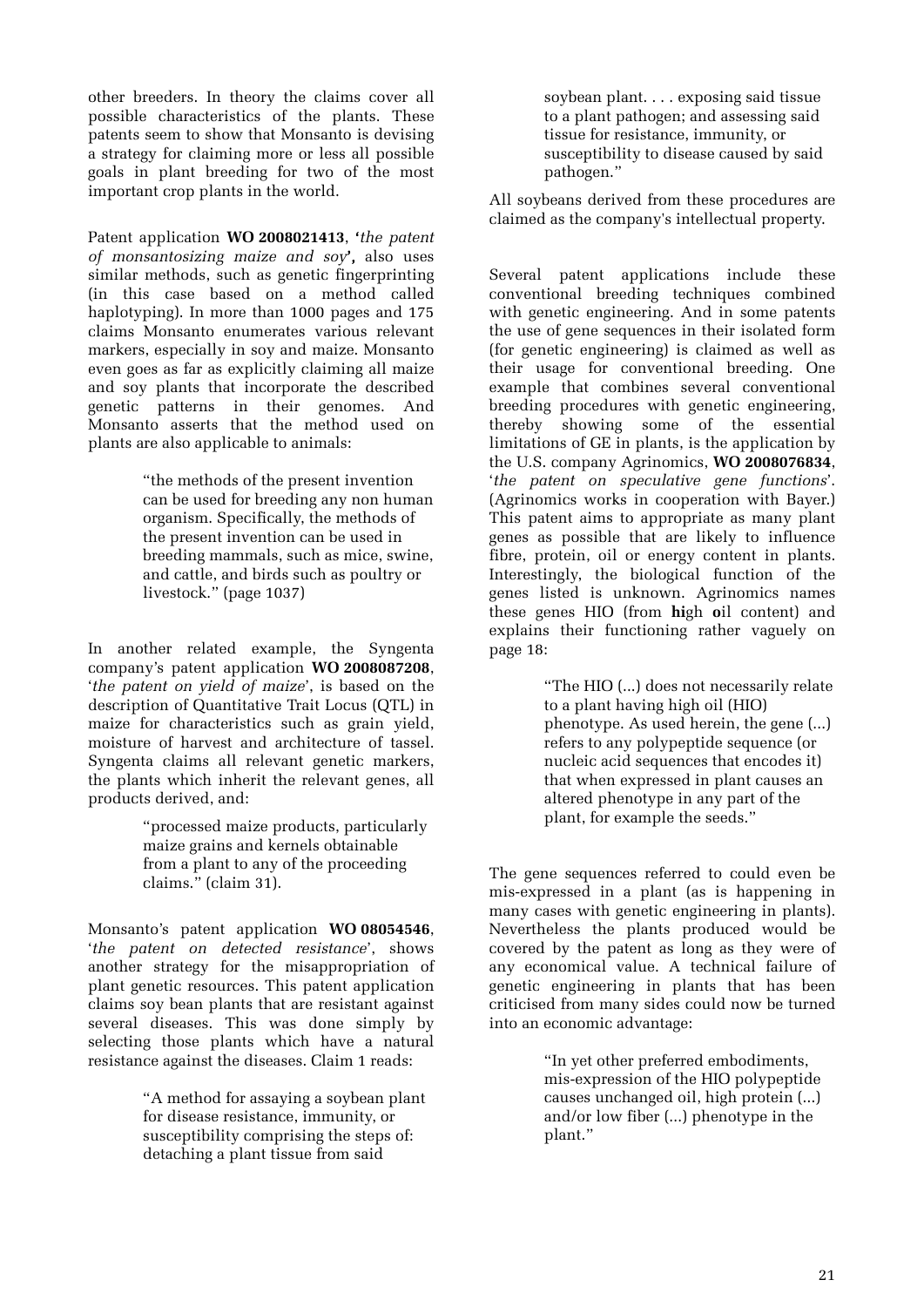other breeders. In theory the claims cover all possible characteristics of the plants. These patents seem to show that Monsanto is devising a strategy for claiming more or less all possible goals in plant breeding for two of the most important crop plants in the world.

Patent application **WO 2008021413**, '*the patent of monsantosizing maize and soy*', also uses similar methods, such as genetic fingerprinting (in this case based on a method called haplotyping). In more than 1000 pages and 175 claims Monsanto enumerates various relevant markers, especially in soy and maize. Monsanto even goes as far as explicitly claiming all maize and soy plants that incorporate the described genetic patterns in their genomes. And Monsanto asserts that the method used on plants are also applicable to animals:

> "the methods of the present invention can be used for breeding any non human organism. Specifically, the methods of the present invention can be used in breeding mammals, such as mice, swine, and cattle, and birds such as poultry or livestock." (page 1037)

In another related example, the Syngenta company's patent application **WO 2008087208**, '*the patent on yield of maize*', is based on the description of Quantitative Trait Locus (QTL) in maize for characteristics such as grain yield, moisture of harvest and architecture of tassel. Syngenta claims all relevant genetic markers, the plants which inherit the relevant genes, all products derived, and:

> "processed maize products, particularly maize grains and kernels obtainable from a plant to any of the proceeding claims." (claim 31).

Monsanto's patent application **WO 08054546**, '*the patent on detected resistance*', shows another strategy for the misappropriation of plant genetic resources. This patent application claims soy bean plants that are resistant against several diseases. This was done simply by selecting those plants which have a natural resistance against the diseases. Claim 1 reads:

> "A method for assaying a soybean plant for disease resistance, immunity, or susceptibility comprising the steps of: detaching a plant tissue from said

soybean plant. . . . exposing said tissue to a plant pathogen; and assessing said tissue for resistance, immunity, or susceptibility to disease caused by said pathogen."

All soybeans derived from these procedures are claimed as the company's intellectual property.

Several patent applications include these conventional breeding techniques combined with genetic engineering. And in some patents the use of gene sequences in their isolated form (for genetic engineering) is claimed as well as their usage for conventional breeding. One example that combines several conventional breeding procedures with genetic engineering, thereby showing some of the essential limitations of GE in plants, is the application by the U.S. company Agrinomics, **WO 2008076834**, '*the patent on speculative gene functions*'. (Agrinomics works in cooperation with Bayer.) This patent aims to appropriate as many plant genes as possible that are likely to influence fibre, protein, oil or energy content in plants. Interestingly, the biological function of the genes listed is unknown. Agrinomics names these genes HIO (from **hi**gh **o**il content) and explains their functioning rather vaguely on page 18:

> "The HIO (...) does not necessarily relate to a plant having high oil (HIO) phenotype. As used herein, the gene (...) refers to any polypeptide sequence (or nucleic acid sequences that encodes it) that when expressed in plant causes an altered phenotype in any part of the plant, for example the seeds."

The gene sequences referred to could even be mis-expressed in a plant (as is happening in many cases with genetic engineering in plants). Nevertheless the plants produced would be covered by the patent as long as they were of any economical value. A technical failure of genetic engineering in plants that has been criticised from many sides could now be turned into an economic advantage:

> "In yet other preferred embodiments, mis-expression of the HIO polypeptide causes unchanged oil, high protein (...) and/or low fiber (...) phenotype in the plant."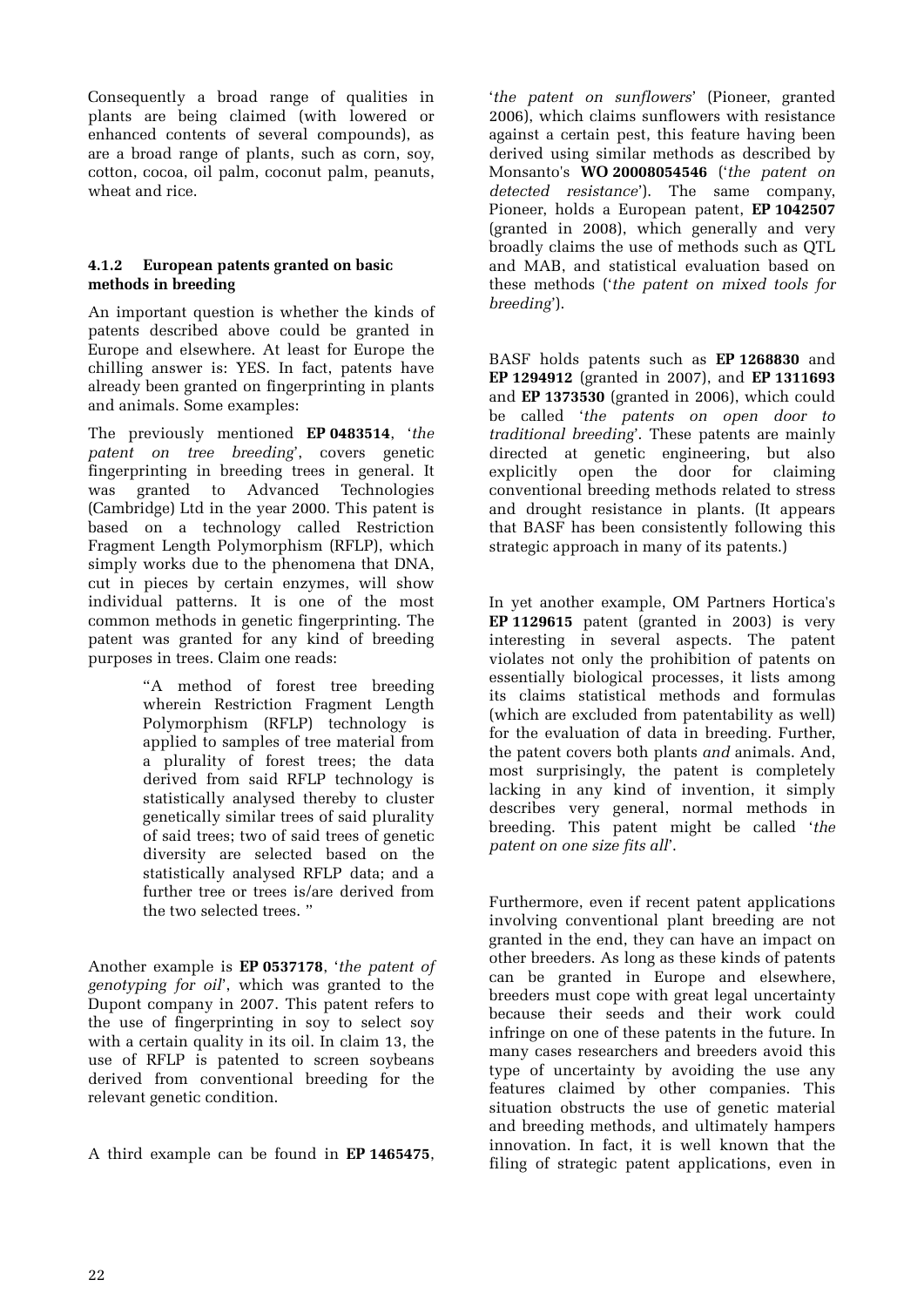Consequently a broad range of qualities in plants are being claimed (with lowered or enhanced contents of several compounds), as are a broad range of plants, such as corn, soy, cotton, cocoa, oil palm, coconut palm, peanuts, wheat and rice.

#### **4.1.2 European patents granted on basic methods in breeding**

An important question is whether the kinds of patents described above could be granted in Europe and elsewhere. At least for Europe the chilling answer is: YES. In fact, patents have already been granted on fingerprinting in plants and animals. Some examples:

The previously mentioned **EP 0483514**, '*the patent on tree breeding*', covers genetic fingerprinting in breeding trees in general. It was granted to Advanced Technologies (Cambridge) Ltd in the year 2000. This patent is based on a technology called Restriction Fragment Length Polymorphism (RFLP), which simply works due to the phenomena that DNA, cut in pieces by certain enzymes, will show individual patterns. It is one of the most common methods in genetic fingerprinting. The patent was granted for any kind of breeding purposes in trees. Claim one reads:

> "A method of forest tree breeding wherein Restriction Fragment Length Polymorphism (RFLP) technology is applied to samples of tree material from a plurality of forest trees; the data derived from said RFLP technology is statistically analysed thereby to cluster genetically similar trees of said plurality of said trees; two of said trees of genetic diversity are selected based on the statistically analysed RFLP data; and a further tree or trees is/are derived from the two selected trees. "

Another example is **EP 0537178**, '*the patent of genotyping for oil*', which was granted to the Dupont company in 2007. This patent refers to the use of fingerprinting in soy to select soy with a certain quality in its oil. In claim 13, the use of RFLP is patented to screen soybeans derived from conventional breeding for the relevant genetic condition.

A third example can be found in **EP 1465475**,

'*the patent on sunflowers*' (Pioneer, granted 2006), which claims sunflowers with resistance against a certain pest, this feature having been derived using similar methods as described by Monsanto's **WO 20008054546** ('*the patent on detected resistance*'). The same company, Pioneer, holds a European patent, **EP 1042507** (granted in 2008), which generally and very broadly claims the use of methods such as QTL and MAB, and statistical evaluation based on these methods ('*the patent on mixed tools for breeding*').

BASF holds patents such as **EP 1268830** and **EP 1294912** (granted in 2007), and **EP 1311693** and **EP 1373530** (granted in 2006), which could be called '*the patents on open door to traditional breeding*'. These patents are mainly directed at genetic engineering, but also explicitly open the door for claiming conventional breeding methods related to stress and drought resistance in plants. (It appears that BASF has been consistently following this strategic approach in many of its patents.)

In yet another example, OM Partners Hortica's **EP 1129615** patent (granted in 2003) is very interesting in several aspects. The patent violates not only the prohibition of patents on essentially biological processes, it lists among its claims statistical methods and formulas (which are excluded from patentability as well) for the evaluation of data in breeding. Further, the patent covers both plants *and* animals. And, most surprisingly, the patent is completely lacking in any kind of invention, it simply describes very general, normal methods in breeding. This patent might be called '*the patent on one size fits all*'.

Furthermore, even if recent patent applications involving conventional plant breeding are not granted in the end, they can have an impact on other breeders. As long as these kinds of patents can be granted in Europe and elsewhere, breeders must cope with great legal uncertainty because their seeds and their work could infringe on one of these patents in the future. In many cases researchers and breeders avoid this type of uncertainty by avoiding the use any features claimed by other companies. This situation obstructs the use of genetic material and breeding methods, and ultimately hampers innovation. In fact, it is well known that the filing of strategic patent applications, even in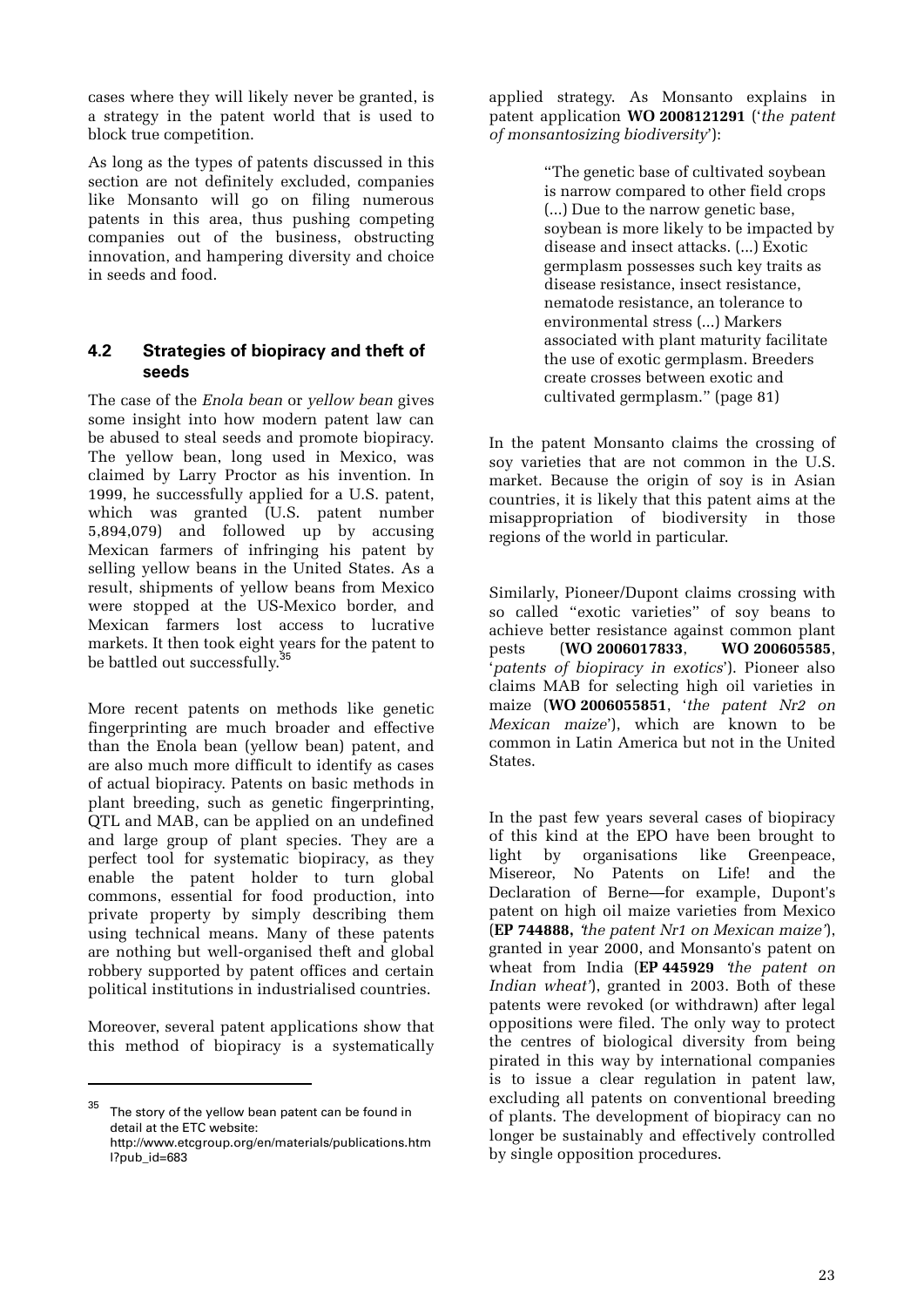cases where they will likely never be granted, is a strategy in the patent world that is used to block true competition.

As long as the types of patents discussed in this section are not definitely excluded, companies like Monsanto will go on filing numerous patents in this area, thus pushing competing companies out of the business, obstructing innovation, and hampering diversity and choice in seeds and food.

#### **4.2 Strategies of biopiracy and theft of seeds**

The case of the *Enola bean* or *yellow bean* gives some insight into how modern patent law can be abused to steal seeds and promote biopiracy. The yellow bean, long used in Mexico, was claimed by Larry Proctor as his invention. In 1999, he successfully applied for a U.S. patent, which was granted (U.S. patent number 5,894,079) and followed up by accusing Mexican farmers of infringing his patent by selling yellow beans in the United States. As a result, shipments of yellow beans from Mexico were stopped at the US-Mexico border, and Mexican farmers lost access to lucrative markets. It then took eight years for the patent to be battled out successfully.<sup>35</sup>

More recent patents on methods like genetic fingerprinting are much broader and effective than the Enola bean (yellow bean) patent, and are also much more difficult to identify as cases of actual biopiracy. Patents on basic methods in plant breeding, such as genetic fingerprinting, QTL and MAB, can be applied on an undefined and large group of plant species. They are a perfect tool for systematic biopiracy, as they enable the patent holder to turn global commons, essential for food production, into private property by simply describing them using technical means. Many of these patents are nothing but well-organised theft and global robbery supported by patent offices and certain political institutions in industrialised countries.

Moreover, several patent applications show that this method of biopiracy is a systematically

 $\overline{a}$ 

applied strategy. As Monsanto explains in patent application **WO 2008121291** ('*the patent of monsantosizing biodiversity*'):

> "The genetic base of cultivated soybean is narrow compared to other field crops (...) Due to the narrow genetic base, soybean is more likely to be impacted by disease and insect attacks. (...) Exotic germplasm possesses such key traits as disease resistance, insect resistance, nematode resistance, an tolerance to environmental stress (...) Markers associated with plant maturity facilitate the use of exotic germplasm. Breeders create crosses between exotic and cultivated germplasm." (page 81)

In the patent Monsanto claims the crossing of soy varieties that are not common in the U.S. market. Because the origin of soy is in Asian countries, it is likely that this patent aims at the misappropriation of biodiversity in those regions of the world in particular.

Similarly, Pioneer/Dupont claims crossing with so called "exotic varieties" of soy beans to achieve better resistance against common plant pests (**WO 2006017833**, **WO 200605585**, '*patents of biopiracy in exotics*'). Pioneer also claims MAB for selecting high oil varieties in maize (**WO 2006055851**, '*the patent Nr2 on Mexican maize*'), which are known to be common in Latin America but not in the United States.

In the past few years several cases of biopiracy of this kind at the EPO have been brought to light by organisations like Greenpeace, Misereor, No Patents on Life! and the Declaration of Berne—for example, Dupont's patent on high oil maize varieties from Mexico (**EP 744888,** '*the patent Nr1 on Mexican maize'*), granted in year 2000, and Monsanto's patent on wheat from India (**EP 445929** '*the patent on Indian wheat'*), granted in 2003. Both of these patents were revoked (or withdrawn) after legal oppositions were filed. The only way to protect the centres of biological diversity from being pirated in this way by international companies is to issue a clear regulation in patent law, excluding all patents on conventional breeding of plants. The development of biopiracy can no longer be sustainably and effectively controlled by single opposition procedures.

The story of the yellow bean patent can be found in detail at the ETC website: http://www.etcgroup.org/en/materials/publications.htm

l?pub\_id=683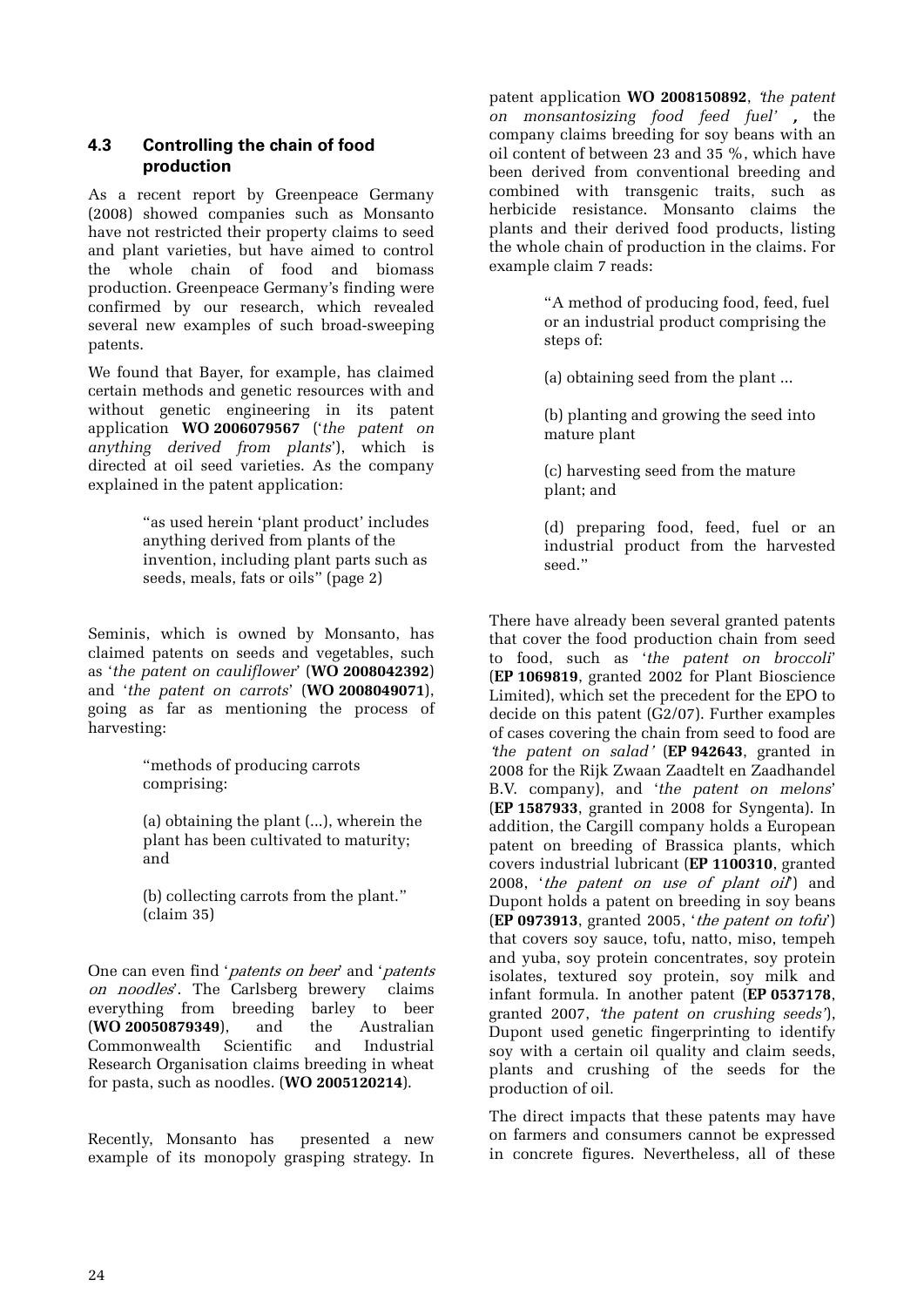#### **4.3 Controlling the chain of food production**

As a recent report by Greenpeace Germany (2008) showed companies such as Monsanto have not restricted their property claims to seed and plant varieties, but have aimed to control the whole chain of food and biomass production. Greenpeace Germany's finding were confirmed by our research, which revealed several new examples of such broad-sweeping patents.

We found that Bayer, for example, has claimed certain methods and genetic resources with and without genetic engineering in its patent application **WO 2006079567** ('*the patent on anything derived from plants*'), which is directed at oil seed varieties. As the company explained in the patent application:

> "as used herein 'plant product' includes anything derived from plants of the invention, including plant parts such as seeds, meals, fats or oils" (page 2)

Seminis, which is owned by Monsanto, has claimed patents on seeds and vegetables, such as '*the patent on cauliflower*' (**WO 2008042392**) and '*the patent on carrots*' (**WO 2008049071**), going as far as mentioning the process of harvesting:

> "methods of producing carrots comprising:

(a) obtaining the plant (...), wherein the plant has been cultivated to maturity; and

(b) collecting carrots from the plant." (claim 35)

One can even find 'patents on beer' and 'patents on noodles'. The Carlsberg brewery claims everything from breeding barley to beer (**WO 20050879349**), and the Australian Commonwealth Scientific and Industrial Research Organisation claims breeding in wheat for pasta, such as noodles. (**WO 2005120214**).

Recently, Monsanto has presented a new example of its monopoly grasping strategy. In patent application **WO 2008150892**, '*the patent on monsantosizing food feed fuel'* , the company claims breeding for soy beans with an oil content of between 23 and 35 %, which have been derived from conventional breeding and combined with transgenic traits, such as herbicide resistance. Monsanto claims the plants and their derived food products, listing the whole chain of production in the claims. For example claim 7 reads:

> "A method of producing food, feed, fuel or an industrial product comprising the steps of:

(a) obtaining seed from the plant ...

(b) planting and growing the seed into mature plant

(c) harvesting seed from the mature plant; and

(d) preparing food, feed, fuel or an industrial product from the harvested seed."

There have already been several granted patents that cover the food production chain from seed to food, such as '*the patent on broccoli*' (**EP 1069819**, granted 2002 for Plant Bioscience Limited), which set the precedent for the EPO to decide on this patent (G2/07). Further examples of cases covering the chain from seed to food are '*the patent on salad*' (**EP 942643**, granted in 2008 for the Rijk Zwaan Zaadtelt en Zaadhandel B.V. company), and '*the patent on melons*' (**EP 1587933**, granted in 2008 for Syngenta). In addition, the Cargill company holds a European patent on breeding of Brassica plants, which covers industrial lubricant (**EP 1100310**, granted 2008, 'the patent on use of plant  $oi$ ) and Dupont holds a patent on breeding in soy beans (**EP 0973913**, granted 2005, 'the patent on tofu') that covers soy sauce, tofu, natto, miso, tempeh and yuba, soy protein concentrates, soy protein isolates, textured soy protein, soy milk and infant formula. In another patent (**EP 0537178**, granted 2007, '*the patent on crushing seeds'*), Dupont used genetic fingerprinting to identify soy with a certain oil quality and claim seeds, plants and crushing of the seeds for the production of oil.

The direct impacts that these patents may have on farmers and consumers cannot be expressed in concrete figures. Nevertheless, all of these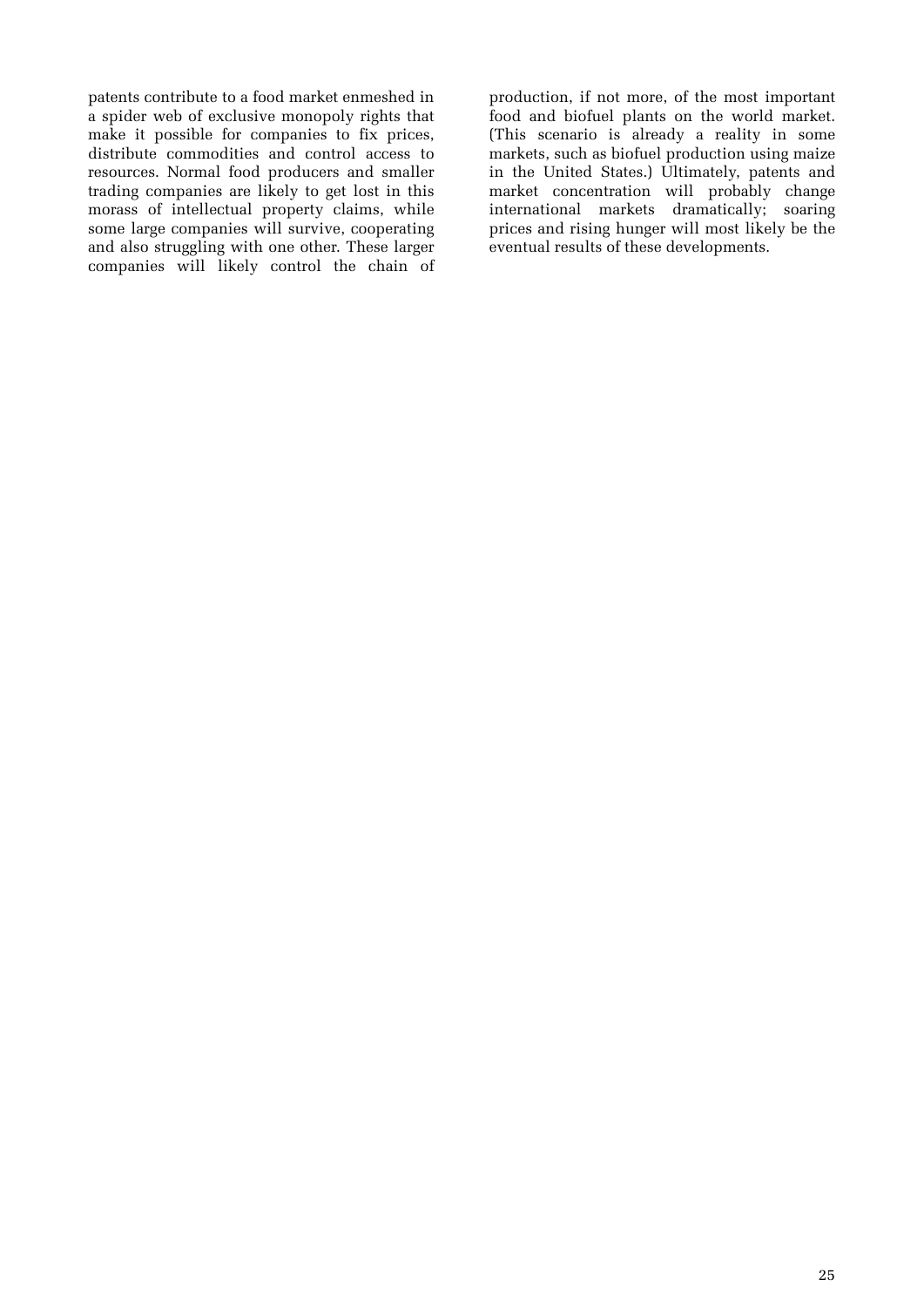patents contribute to a food market enmeshed in a spider web of exclusive monopoly rights that make it possible for companies to fix prices, distribute commodities and control access to resources. Normal food producers and smaller trading companies are likely to get lost in this morass of intellectual property claims, while some large companies will survive, cooperating and also struggling with one other. These larger companies will likely control the chain of

production, if not more, of the most important food and biofuel plants on the world market. (This scenario is already a reality in some markets, such as biofuel production using maize in the United States.) Ultimately, patents and market concentration will probably change international markets dramatically; soaring prices and rising hunger will most likely be the eventual results of these developments.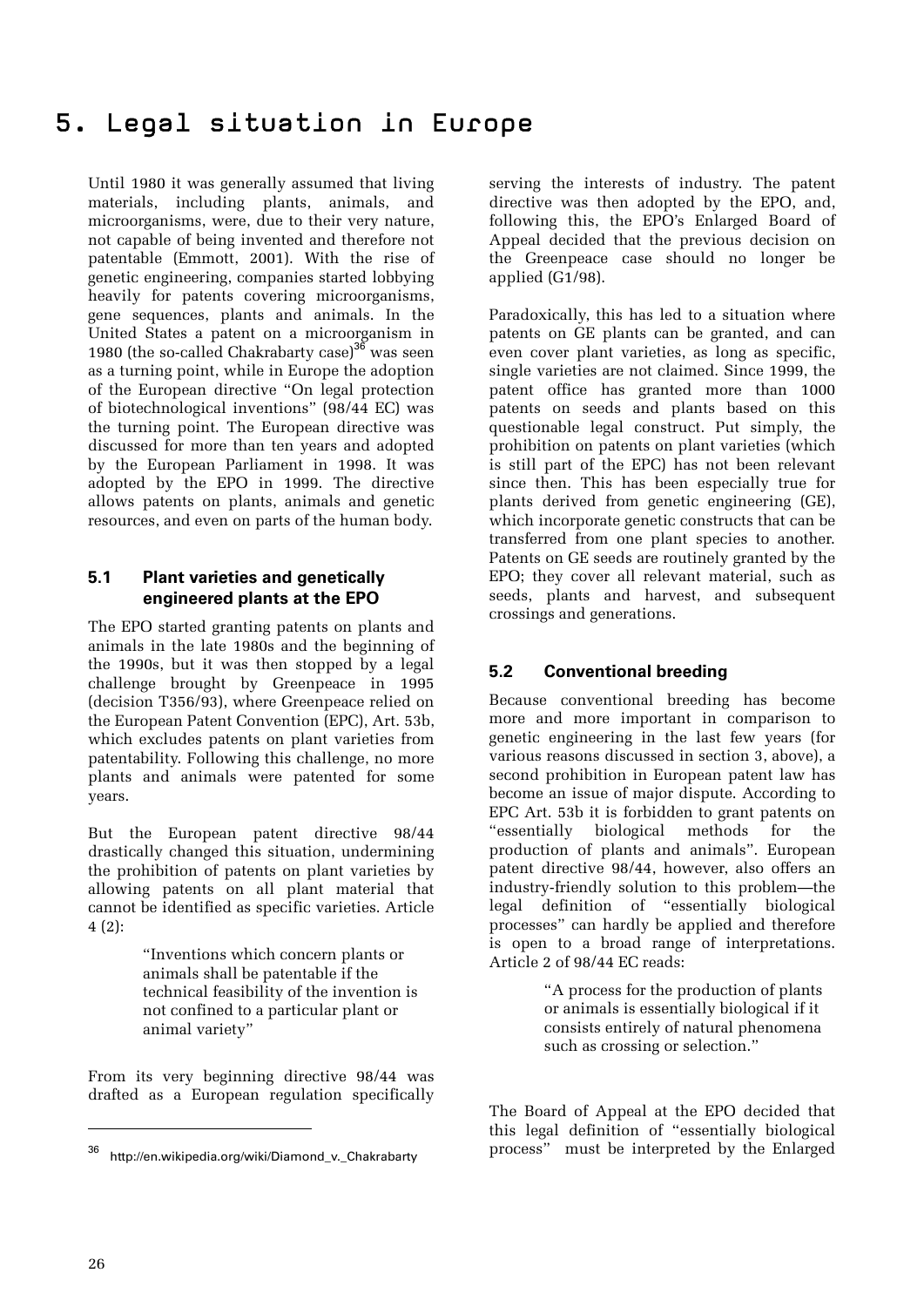## 5. Legal situation in Europe

Until 1980 it was generally assumed that living materials, including plants, animals, and microorganisms, were, due to their very nature, not capable of being invented and therefore not patentable (Emmott, 2001). With the rise of genetic engineering, companies started lobbying heavily for patents covering microorganisms, gene sequences, plants and animals. In the United States a patent on a microorganism in 1980 (the so-called Chakrabarty case)<sup>36</sup> was seen as a turning point, while in Europe the adoption of the European directive "On legal protection of biotechnological inventions" (98/44 EC) was the turning point. The European directive was discussed for more than ten years and adopted by the European Parliament in 1998. It was adopted by the EPO in 1999. The directive allows patents on plants, animals and genetic resources, and even on parts of the human body.

#### **5.1 Plant varieties and genetically engineered plants at the EPO**

The EPO started granting patents on plants and animals in the late 1980s and the beginning of the 1990s, but it was then stopped by a legal challenge brought by Greenpeace in 1995 (decision T356/93), where Greenpeace relied on the European Patent Convention (EPC), Art. 53b, which excludes patents on plant varieties from patentability. Following this challenge, no more plants and animals were patented for some years.

But the European patent directive 98/44 drastically changed this situation, undermining the prohibition of patents on plant varieties by allowing patents on all plant material that cannot be identified as specific varieties. Article 4 (2):

> "Inventions which concern plants or animals shall be patentable if the technical feasibility of the invention is not confined to a particular plant or animal variety"

From its very beginning directive 98/44 was drafted as a European regulation specifically

serving the interests of industry. The patent directive was then adopted by the EPO, and, following this, the EPO's Enlarged Board of Appeal decided that the previous decision on the Greenpeace case should no longer be applied (G1/98).

Paradoxically, this has led to a situation where patents on GE plants can be granted, and can even cover plant varieties, as long as specific, single varieties are not claimed. Since 1999, the patent office has granted more than 1000 patents on seeds and plants based on this questionable legal construct. Put simply, the prohibition on patents on plant varieties (which is still part of the EPC) has not been relevant since then. This has been especially true for plants derived from genetic engineering (GE), which incorporate genetic constructs that can be transferred from one plant species to another. Patents on GE seeds are routinely granted by the EPO; they cover all relevant material, such as seeds, plants and harvest, and subsequent crossings and generations.

#### **5.2 Conventional breeding**

Because conventional breeding has become more and more important in comparison to genetic engineering in the last few years (for various reasons discussed in section 3, above), a second prohibition in European patent law has become an issue of major dispute. According to EPC Art. 53b it is forbidden to grant patents on "essentially biological methods for the production of plants and animals". European patent directive 98/44, however, also offers an industry-friendly solution to this problem—the legal definition of "essentially biological processes" can hardly be applied and therefore is open to a broad range of interpretations. Article 2 of 98/44 EC reads:

> "A process for the production of plants or animals is essentially biological if it consists entirely of natural phenomena such as crossing or selection."

The Board of Appeal at the EPO decided that this legal definition of "essentially biological process" must be interpreted by the Enlarged

http://en.wikipedia.org/wiki/Diamond\_v.\_Chakrabarty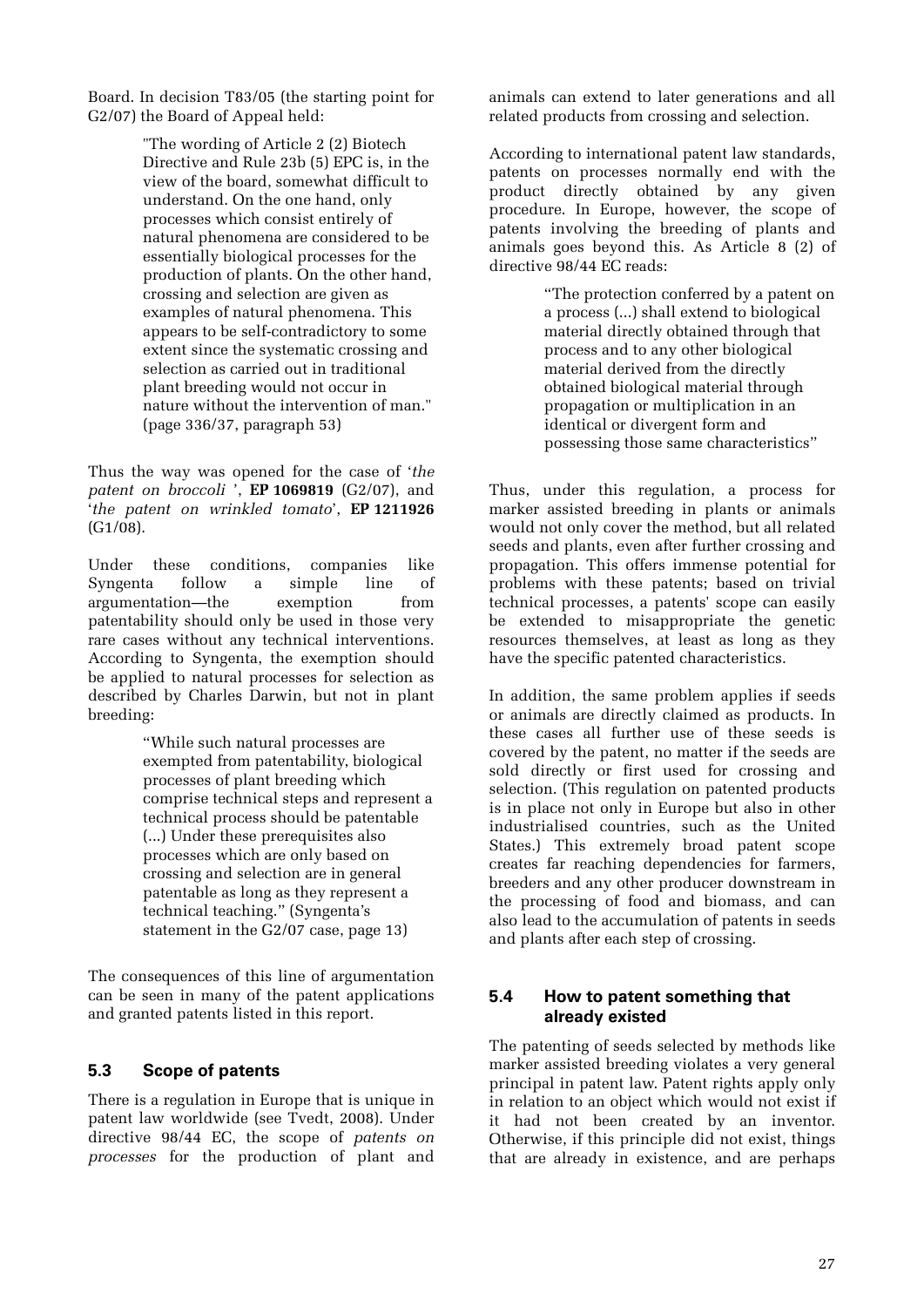Board. In decision T83/05 (the starting point for G2/07) the Board of Appeal held:

> "The wording of Article 2 (2) Biotech Directive and Rule 23b (5) EPC is, in the view of the board, somewhat difficult to understand. On the one hand, only processes which consist entirely of natural phenomena are considered to be essentially biological processes for the production of plants. On the other hand, crossing and selection are given as examples of natural phenomena. This appears to be self-contradictory to some extent since the systematic crossing and selection as carried out in traditional plant breeding would not occur in nature without the intervention of man." (page 336/37, paragraph 53)

Thus the way was opened for the case of '*the patent on broccoli* ', **EP 1069819** (G2/07), and '*the patent on wrinkled tomato*', **EP 1211926** (G1/08).

Under these conditions, companies like Syngenta follow a simple line of argumentation—the exemption from patentability should only be used in those very rare cases without any technical interventions. According to Syngenta, the exemption should be applied to natural processes for selection as described by Charles Darwin, but not in plant breeding:

> "While such natural processes are exempted from patentability, biological processes of plant breeding which comprise technical steps and represent a technical process should be patentable (...) Under these prerequisites also processes which are only based on crossing and selection are in general patentable as long as they represent a technical teaching." (Syngenta's statement in the G2/07 case, page 13)

The consequences of this line of argumentation can be seen in many of the patent applications and granted patents listed in this report.

#### **5.3 Scope of patents**

There is a regulation in Europe that is unique in patent law worldwide (see Tvedt, 2008). Under directive 98/44 EC, the scope of *patents on processes* for the production of plant and

animals can extend to later generations and all related products from crossing and selection.

According to international patent law standards, patents on processes normally end with the product directly obtained by any given procedure. In Europe, however, the scope of patents involving the breeding of plants and animals goes beyond this. As Article 8 (2) of directive 98/44 EC reads:

> "The protection conferred by a patent on a process (...) shall extend to biological material directly obtained through that process and to any other biological material derived from the directly obtained biological material through propagation or multiplication in an identical or divergent form and possessing those same characteristics"

Thus, under this regulation, a process for marker assisted breeding in plants or animals would not only cover the method, but all related seeds and plants, even after further crossing and propagation. This offers immense potential for problems with these patents; based on trivial technical processes, a patents' scope can easily be extended to misappropriate the genetic resources themselves, at least as long as they have the specific patented characteristics.

In addition, the same problem applies if seeds or animals are directly claimed as products. In these cases all further use of these seeds is covered by the patent, no matter if the seeds are sold directly or first used for crossing and selection. (This regulation on patented products is in place not only in Europe but also in other industrialised countries, such as the United States.) This extremely broad patent scope creates far reaching dependencies for farmers, breeders and any other producer downstream in the processing of food and biomass, and can also lead to the accumulation of patents in seeds and plants after each step of crossing.

#### **5.4 How to patent something that already existed**

The patenting of seeds selected by methods like marker assisted breeding violates a very general principal in patent law. Patent rights apply only in relation to an object which would not exist if it had not been created by an inventor. Otherwise, if this principle did not exist, things that are already in existence, and are perhaps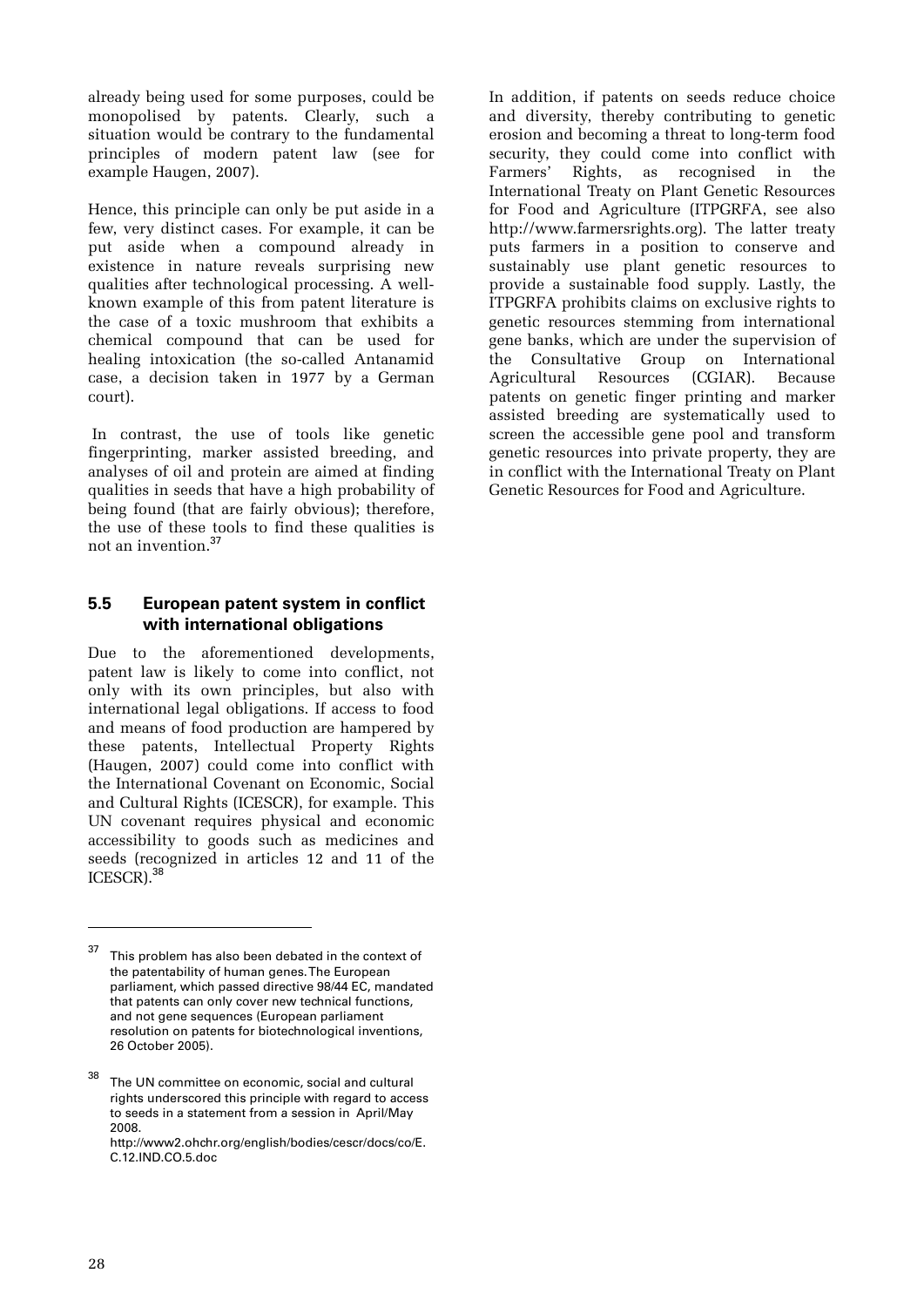already being used for some purposes, could be monopolised by patents. Clearly, such a situation would be contrary to the fundamental principles of modern patent law (see for example Haugen, 2007).

Hence, this principle can only be put aside in a few, very distinct cases. For example, it can be put aside when a compound already in existence in nature reveals surprising new qualities after technological processing. A wellknown example of this from patent literature is the case of a toxic mushroom that exhibits a chemical compound that can be used for healing intoxication (the so-called Antanamid case, a decision taken in 1977 by a German court).

 In contrast, the use of tools like genetic fingerprinting, marker assisted breeding, and analyses of oil and protein are aimed at finding qualities in seeds that have a high probability of being found (that are fairly obvious); therefore, the use of these tools to find these qualities is not an invention.<sup>37</sup>

#### **5.5 European patent system in conflict with international obligations**

Due to the aforementioned developments, patent law is likely to come into conflict, not only with its own principles, but also with international legal obligations. If access to food and means of food production are hampered by these patents, Intellectual Property Rights (Haugen, 2007) could come into conflict with the International Covenant on Economic, Social and Cultural Rights (ICESCR), for example. This UN covenant requires physical and economic accessibility to goods such as medicines and seeds (recognized in articles 12 and 11 of the ICESCR).<sup>38</sup>

In addition, if patents on seeds reduce choice and diversity, thereby contributing to genetic erosion and becoming a threat to long-term food security, they could come into conflict with Farmers' Rights, as recognised in the International Treaty on Plant Genetic Resources for Food and Agriculture (ITPGRFA, see also http://www.farmersrights.org). The latter treaty puts farmers in a position to conserve and sustainably use plant genetic resources to provide a sustainable food supply. Lastly, the ITPGRFA prohibits claims on exclusive rights to genetic resources stemming from international gene banks, which are under the supervision of the Consultative Group on International Agricultural Resources (CGIAR). Because patents on genetic finger printing and marker assisted breeding are systematically used to screen the accessible gene pool and transform genetic resources into private property, they are in conflict with the International Treaty on Plant Genetic Resources for Food and Agriculture.

 $37$  This problem has also been debated in the context of the patentability of human genes. The European parliament, which passed directive 98/44 EC, mandated that patents can only cover new technical functions, and not gene sequences (European parliament resolution on patents for biotechnological inventions, 26 October 2005).

The UN committee on economic, social and cultural rights underscored this principle with regard to access to seeds in a statement from a session in April/May 2008.

http://www2.ohchr.org/english/bodies/cescr/docs/co/E. C.12.IND.CO.5.doc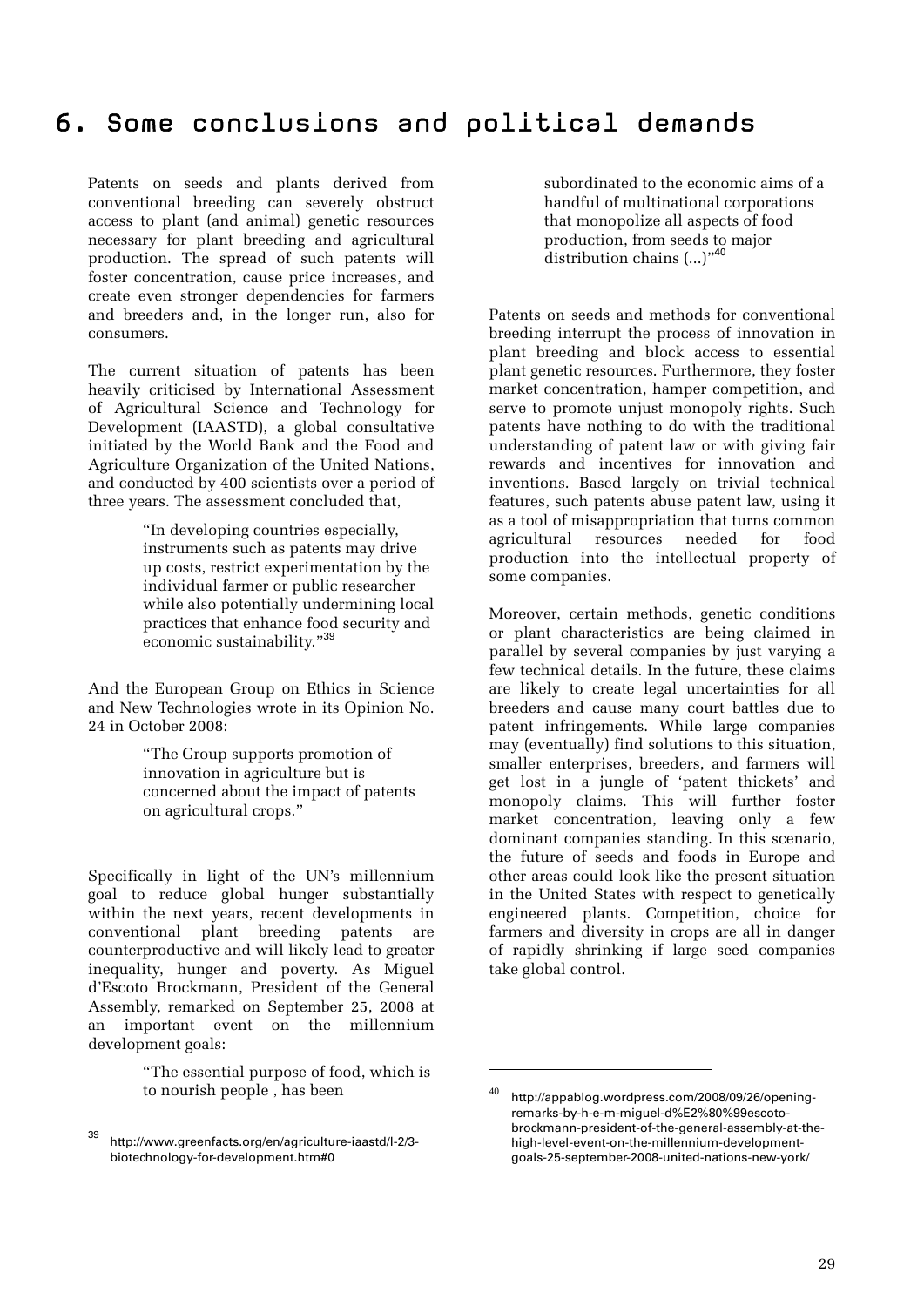### 6. Some conclusions and political demands

Patents on seeds and plants derived from conventional breeding can severely obstruct access to plant (and animal) genetic resources necessary for plant breeding and agricultural production. The spread of such patents will foster concentration, cause price increases, and create even stronger dependencies for farmers and breeders and, in the longer run, also for consumers.

The current situation of patents has been heavily criticised by International Assessment of Agricultural Science and Technology for Development (IAASTD), a global consultative initiated by the World Bank and the Food and Agriculture Organization of the United Nations, and conducted by 400 scientists over a period of three years. The assessment concluded that,

> "In developing countries especially, instruments such as patents may drive up costs, restrict experimentation by the individual farmer or public researcher while also potentially undermining local practices that enhance food security and economic sustainability."<sup>39</sup>

And the European Group on Ethics in Science and New Technologies wrote in its Opinion No. 24 in October 2008:

> "The Group supports promotion of innovation in agriculture but is concerned about the impact of patents on agricultural crops."

Specifically in light of the UN's millennium goal to reduce global hunger substantially within the next years, recent developments in conventional plant breeding patents are counterproductive and will likely lead to greater inequality, hunger and poverty. As Miguel d'Escoto Brockmann, President of the General Assembly, remarked on September 25, 2008 at an important event on the millennium development goals:

> "The essential purpose of food, which is to nourish people , has been

 $\overline{a}$ 

subordinated to the economic aims of a handful of multinational corporations that monopolize all aspects of food production, from seeds to major distribution chains  $(...)$ <sup>,40</sup>

Patents on seeds and methods for conventional breeding interrupt the process of innovation in plant breeding and block access to essential plant genetic resources. Furthermore, they foster market concentration, hamper competition, and serve to promote unjust monopoly rights. Such patents have nothing to do with the traditional understanding of patent law or with giving fair rewards and incentives for innovation and inventions. Based largely on trivial technical features, such patents abuse patent law, using it as a tool of misappropriation that turns common agricultural resources needed for food production into the intellectual property of some companies.

Moreover, certain methods, genetic conditions or plant characteristics are being claimed in parallel by several companies by just varying a few technical details. In the future, these claims are likely to create legal uncertainties for all breeders and cause many court battles due to patent infringements. While large companies may (eventually) find solutions to this situation, smaller enterprises, breeders, and farmers will get lost in a jungle of 'patent thickets' and monopoly claims. This will further foster market concentration, leaving only a few dominant companies standing. In this scenario, the future of seeds and foods in Europe and other areas could look like the present situation in the United States with respect to genetically engineered plants. Competition, choice for farmers and diversity in crops are all in danger of rapidly shrinking if large seed companies take global control.

<u>.</u>

<sup>39</sup> http://www.greenfacts.org/en/agriculture-iaastd/l-2/3 biotechnology-for-development.htm#0

http://appablog.wordpress.com/2008/09/26/openingremarks-by-h-e-m-miguel-d%E2%80%99escotobrockmann-president-of-the-general-assembly-at-thehigh-level-event-on-the-millennium-developmentgoals-25-september-2008-united-nations-new-york/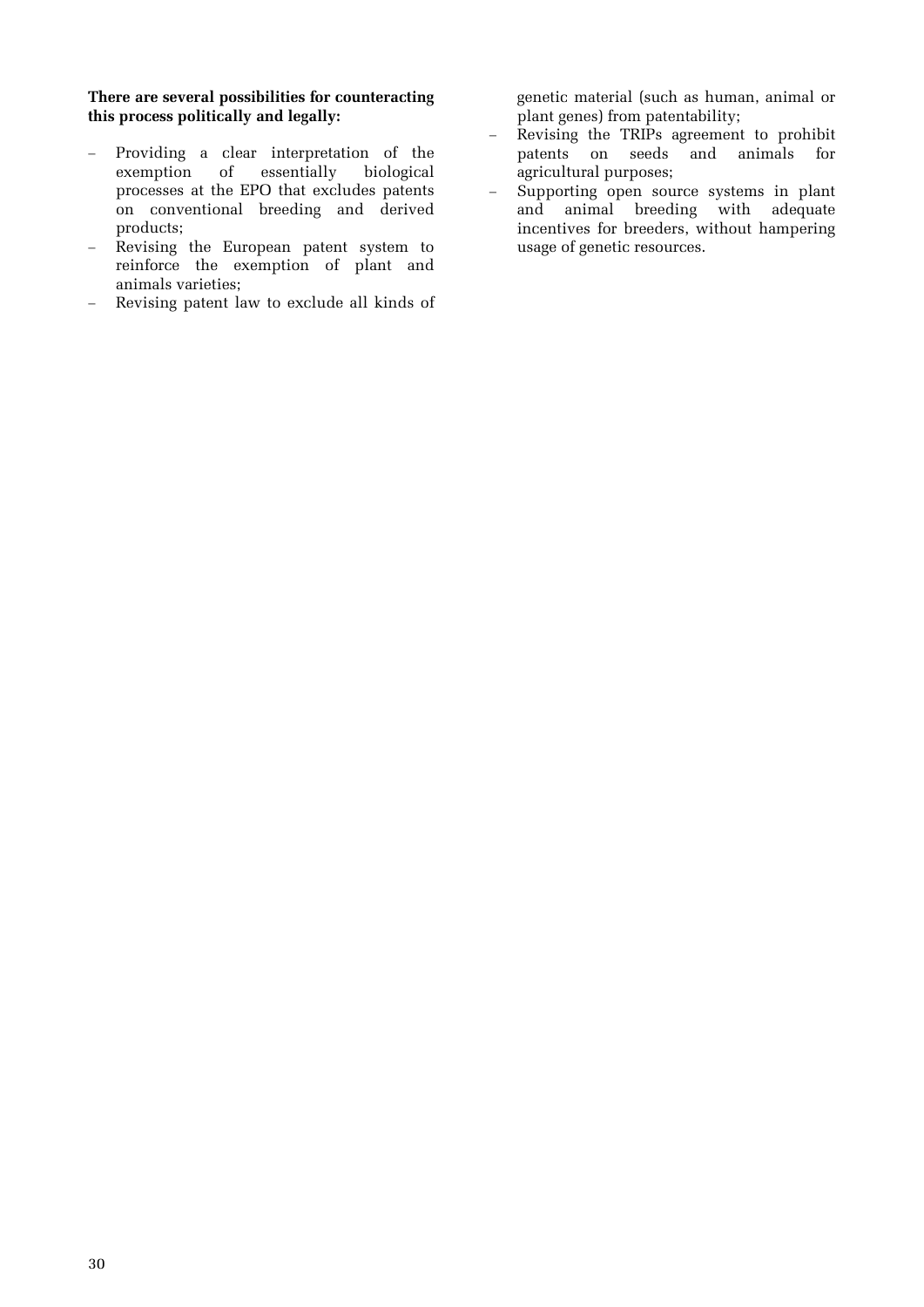#### **There are several possibilities for counteracting this process politically and legally:**

- Providing a clear interpretation of the exemption of essentially biological processes at the EPO that excludes patents on conventional breeding and derived products;
- Revising the European patent system to reinforce the exemption of plant and animals varieties;
- Revising patent law to exclude all kinds of

genetic material (such as human, animal or plant genes) from patentability;

- Revising the TRIPs agreement to prohibit patents on seeds and animals for agricultural purposes;
- Supporting open source systems in plant and animal breeding with adequate incentives for breeders, without hampering usage of genetic resources.